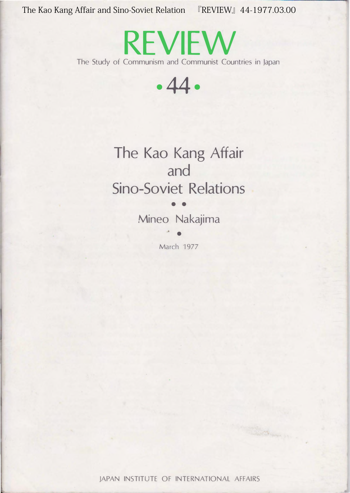The Kao Kang Affair and Sino-Soviet Relation 『REVIEW』44-1977.03.00

REVIEW The Study of Communism and Communist Countries in Japan

・44・

The Kao Kang Affair and Sino-Soviet Relations

> $\bullet$   $\bullet$ Mineo Nakajima

> > $\bullet$ March 1977

JAPAN INSTITUTE OF INTERNATIONAL AFFAIRS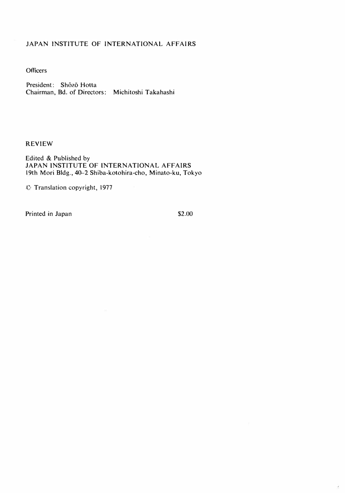#### JAPAN INSTITUTE OF INTERNATIONAL AFFAIRS

**Officers** 

President: Shōzō Hotta Chairman, Bd. of Directors: Michitoshi Takahashi

#### REVIEW

Edited & Published by JAPAN INSTITUTE OF INTERNATIONAL AFFAIRS 19th Mori Bldg., 40-2 Shiba-kotohira-cho, Minato-ku, Tokyo

:C' Translation copyright, 1977

Printed in Japan \$2.00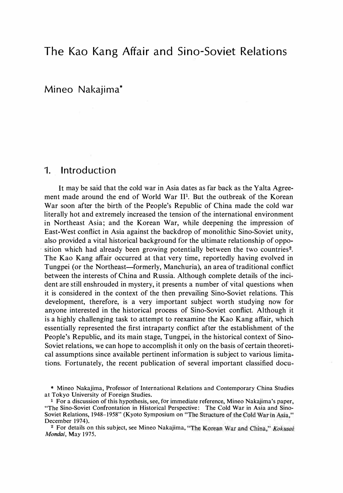# The Kao Kang Affair and Sino-Soviet Relations

Mineo Nakajima\*

### 1. Introduction

It may be said that the cold war in Asia dates as far back as the Yalta Agreement made around the end of World War  $II<sup>1</sup>$ . But the outbreak of the Korean War soon after the birth of the People's Republic of China made the cold war literally hot and extremely increased the tension of the international environment in Northeast Asia; and the Korean War, while deepening the impression of East-West conflict in Asia against the backdrop of monolithic Sino・Soviet unity, also provided a vital historical background for the ultimate relationship of opposition which had already been growing potentially between the two countries<sup>2</sup>. The Kao Kang affair occurred at that very time, reportedly having evolved in Tungpei (or the Northeast—formerly, Manchuria), an area of traditional conflict between the interests of China and Russia. Although complete details of the incident are still enshrouded in mystery, it presents a number of vital questions when it is considered in the context of the then prevailing Sino・Soviet relations. This development, therefore, is a very important subject worth studying now for anyone interested in the historical process of Sino・Soviet conflict. Although it is a highly challenging task to attempt to reexamine the Kao Kang affair, which essentially represented the first intraparty conflict after the establishment of the People's Republic, and its main stage, Tungpei, in the historical context of Sino-Soviet relations, we can hope to accomplish it only on the basis of certain theoretical assumptions since available pertinent information is subject to various limitations. Fortunately, the recent publication of several important classified docu-

寧 Mineo Nakajima, Professor of International Relations and Contemporary China Studies at Tokyo University of Foreign Studies.

 $<sup>1</sup>$  For a discussion of this hypothesis, see, for immediate reference, Mineo Nakajima's paper,</sup> "The Sino-Soviet Confrontation in Historical Perspective: The Cold War in Asia and Sino-Soviet Relations, 1948-1958" (Kyoto Symposium on "The Structure of the Cold War in Asia," December 1974).

<sup>&</sup>lt;sup>2</sup> For details on this subject, see Mineo Nakajima, "The Korean War and China," Kokusai Mondai, May 1975.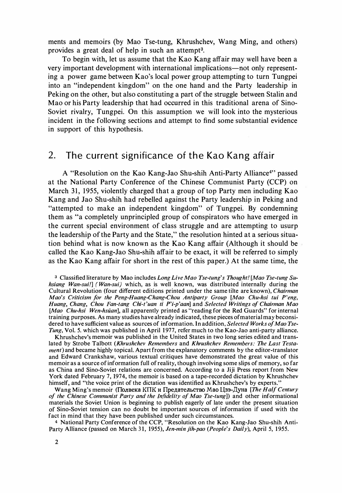ments and memoirs (by Mao Tse-tung, Khrushchev, Wang Ming, and others) provides a great deal of help in such an attempt3.

To begin with, let us assume that the Kao Kang affair may well have been a very important development with international implications-not only representing a power game between Kao's local power group attempting to turn Tungpei into an "independent kingdom" on the one hand and the Party leadership in Peking on the other, but also constituting a part of the struggle between Stalin and Mao or his Party leadership that had occurred in this traditional arena of Sino-Soviet rivalry, Tungpei. On this assumption we will look into the mysterious incident in the following sections and attempt to find some substantial evidence in support of this hypothesis.

## 2. The current significance of the Kao Kang affair

A "Resolution on the Kao Kang-Jao Shu-shih Anti-Party Alliance<sup>4</sup>" passed at the National Party Conference of the Chinese Communist Party (CCP) on March 31, 1955, violently charged that a group of top Party men including Kao Kang and Jao Shu-shih had rebelled against the Party leadership in Peking and "attempted to make an independent kingdom" of Tungpei. By condemning them as "a completely unprincipled group of conspirators who have emerged in the current special environment of class struggle and are attempting to usurp the leadership of the Party and the State," the resolution hinted at a serious situation behind what is now known as the Kao Kang affair (Although it should be called the Kao Kang-Jao Shu・shih affair to be exact, it will be referred to simply as the Kao Kang affair for short in the rest of this paper.) At the same time, the

<sup>3</sup> Classified literature by Mao includes Long Live Mao Tse-tung's Thought! [Mao Tse-tung Suhsiang Wan-sui!] (Wan-sui) which, as is well known, was distributed internally during the Cultural Revolution (four different editions printed under the same tilte are known), *Chairman* Mao's Criticism for the Peng-Huang-Chang-Chou Antiparty Group [Mao Chu-hsi tui P'eng, Huang, Chang, Chou Fan-tang Chi-t'uan ti P'i-p'aan] and Selected Writings of Chairman Mao [Mao Chu-hsi Wen-hsüan], all apparently printed as "reading for the Red Guards" for internal training purposes. As many studies have already indicated, these pieces of material may beconsidered to have sufficient value as sources of information. In addition, Selected Works of Mao Tse-Tung, Vol. 5. which was published in April 1977, refer much to the Kao-Jao anti-party alliance.

Khrushchev's memoir was published in the United States in two long series edited and translated by Strobe Talbott (Khrushchev Remembers and Khrushchev Remembers: The Last Testa*ment*) and became highly topical. Apart from the explanatory comments by the editor-translator and Edward Crankshaw, various textual critiques have demonstrated the great value of this memoir as a source of information full of reality, though involving some slips of memory, so far as China and Sino-Soviet relations are concerned. According to a Jiji Press report from New York dated February 7, 1974, the memoir is based on a tape-recorded dictation by Khrushchev himself, and "the voice print of the dictation was identified as Khrushchev's by experts."

Wang Ming's memoir (Полвека КПК и Предательство Mao Llзэ-Дуна [The Half Century of the Chinese Communist Party and the Infidelity of Mao Tse-tung]) and other informational materials the Soviet Union is beginning to publish eagerly of late under the present situation of Sino・Soviet tension can no doubt be important sources of information if used with the fact in mind that they have been published under such circumstances.

4 National Party Conference of the CCP, ''Resolution on the Kao Kang-Jao Shu-shih Anti-Party Alliance (passed on March 31, 1955), Jen-min jih-pao (People's Daily), April 5, 1955.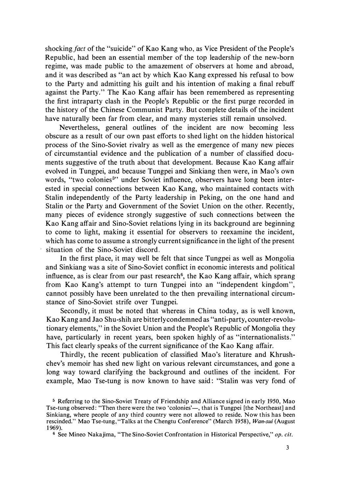shocking fact of the "suicide" of Kao Kang who, as Vice President of the People's Republic, had been an essential member of the top leadership of the new-born regime, was made public to the amazement of observers at home and abroad, and it was described as "an act by which Kao Kang expressed his refusal to bow to the Party and admitting his guilt and his intention of making a final rebuff against the Party." The Kao Kang affair has been remembered as representing the first intraparty clash in the People's Republic or the first purge recorded in the history of the Chinese Communist Party. But complete details of the incident have naturally been far from clear, and many mysteries still remain unsolved.

Nevertheless, general outlines of the incident are now becoming less obscure as a result of our own past efforts to shed light on the hidden historical process of the Sino・Soviet rivalry as well as the emergence of many new pieces of circumstantial evidence and the publication of a number of classified documents suggestive of the truth about that development. Because Kao Kang affair evolved in Tungpei, and because Tungpei and Sinkiang then were, in Mao's own words, "two colonies<sup>5</sup>" under Soviet influence, observers have long been interested in special connections between Kao Kang, who maintained contacts with Stalin independently of the Party leadership in Peking, on the one hand and Stalin or the Party and Government of the Soviet Union on the other. Recently, many pieces of evidence strongly suggestive of such connections between the Kao Kang affair and Sino-Soviet relations lying in its background are beginning to come to light, making it essential for observers to reexamine the incident, which has come to assume a strongly current significance in the light of the present situation of the Sino-Soviet discord.

In the first place, it may well be felt that since Tungpei as well as Mongolia and Sinkiang was a site of Sino・Soviet conflict in economic interests and political influence, as is clear from our past research<sup>6</sup>, the Kao Kang affair, which sprang from Kao Kang's attempt to turn Tungpei into an "independent kingdom", cannot possibly have been unrelated to the then prevailing international circumstance of Sino・Soviet strife over Tungpei.

Secondly, it must be noted that whereas in China today, as is well known, Kao Kang and Jao Shu-shih are bitterly condemned as "anti-party, counter-revolutionary elements," in the Soviet Union and the People's Republic of Mongolia they have, particularly in recent years, been spoken highly of as "internationalists." This fact clearly speaks of the current significance of the Kao Kang affair.

Thirdly, the recent publication of classified Mao's literature and Khrushchev's memoir has shed new light on various relevant circumstances, and gone a long way toward clarifying the background and outlines of the incident. For example, Mao Tse-tung is now known to have said: "Stalin was very fond of

<sup>&</sup>lt;sup>5</sup> Referring to the Sino-Soviet Treaty of Friendship and Alliance signed in early 1950, Mao Tse-tung observed: "Then there were the two 'colonies'—, that is Tungpei [the Northeast] and Sinkiang, where people of any third country were not allowed to reside. Now this has been rescinded." Mao Tse-tung,"Talks at the Chengtu Conference" (March 1958), Wan-sui (August 1 969).

<sup>&</sup>lt;sup>6</sup> See Mineo Nakajima, "The Sino-Soviet Confrontation in Historical Perspective," op. cit.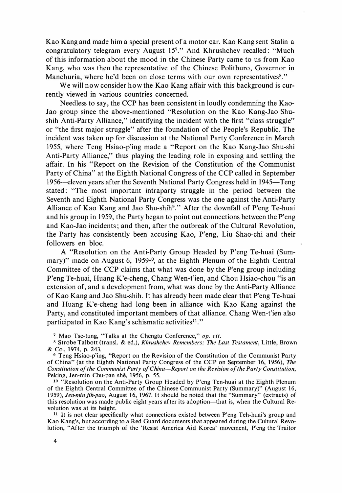Kao Kang and made him a special present of a motor car. Kao Kang sent Stalin a congratulatory telegram every August 157." And Khrushchev recalled: "Much of this information about the mood in the Chinese Party came to us from Kao Kang, who was then the representative of the Chinese Politburo, Governor in Manchuria, where he'd been on close terms with our own representatives<sup>8</sup>."

We will now consider how the Kao Kang affair with this background is currently viewed in various countries concerned.

Needless to say, the CCP has been consistent in loudly condemning the Kao-Jao group since the above-mentioned "Resolution on the Kao Kang-Jao Shushih Anti-Party Alliance," identifying the incident with the first "class struggle" or "the first major struggle" after the foundation of the People's Republic. The incident was taken up for discussion at the National Party Conference in March 1955, where Teng Hsiao・p'ing made a "Report on the Kao Kang-Jao Shu・shi Anti-Party Alliance," thus playing the leading role in exposing and settling the affair. In his "Report on the Revision of the Constitution of the Communist Party of China" at the Eighth National Congress of the CCP called in September 1956-eleven years after the Seventh National Party Congress held in 1945-Teng stated: "The most important intraparty struggle in the period between the Seventh and Eighth National Party Congress was the one against the Anti-Party Alliance of Kao Kang and Jao Shu-shih<sup>9</sup>." After the downfall of P'eng Te-huai and his group in 1959, the Party began to point out connections between the p'eng and Kao・Jao incidents; and then, after the outbreak of the Cultural Revolution, the Party has consistently been accusing Kao, P'eng, Liu Shao・chi and their followers en bloc.

A "Resolution on the Anti-Party Group Headed by P'eng Te・huai (Summary)" made on August 6, 1959<sup>10</sup>, at the Eighth Plenum of the Eighth Central Committee of the CCP claims that what was done by the P'eng group including P'eng Te-huai, Huang K'e-cheng, Chang Wen-t'ien, and Chou Hsiao-chou "is an extension of, and a development from, what was done by the Anti-Party Alliance of Kao Kang and Jao Shu・shih. It has already been made clear that P'eng Te-huai and Huang k'e・cheng had long been in alliance with Kao Kang against the Party, and constituted important members of that alliance. Chang Wen-t'ien also participated in Kao Kang's schismatic activities<sup>11</sup>."

10 "Resolution on the Anti-Party Group Headed by P'eng Ten-huai at the Eighth Plenum of the Eighth Central Committee of the Chinese Communist Party (Summary)" (August 16, 1959), Jen-min jih-pao, August 16, 1967. It should be noted that the "Summary" (extracts) of this resolution was made public eight years after its adoption-that is, when the Cultural Revolution was at its height.

<sup>11</sup> It is not clear specifically what connections existed between P'eng Teh-huai's group and Kao Kang's, but acc�rding to a Red Guard documents that appeared during the Cultural Revolution, "After the triumph of the 'Resist America Aid Korea' movement, P'eng the Traitor

<sup>7</sup> Mao Tse-tung, "Talks at the Chengtu Conference," op. cit.

<sup>8</sup> Strobe Talbott (transl. & ed.), Khrushchev Remembers: The Last Testament, Little, Brown & Co., 1974, p. 243.

<sup>9</sup> Teng Hsiao・p'ing, "Report on the Revision of the Constitution of the Communist Party of China" (at the Eighth National Party Congress of the CCP on September 16, 1956), The Constitution of. the Communist Party of China-Report on the Revision of the Party Constitution, Peking, Jen-min Chu-pan shê, 1956, p. 55.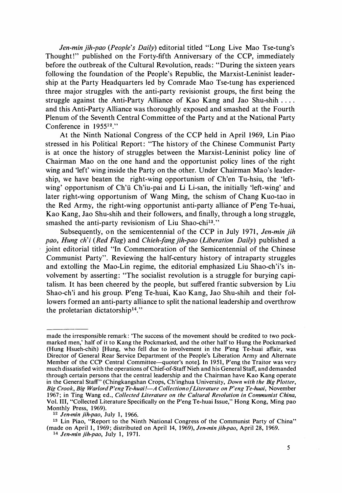Jen-min jih-pao (People's Daily) editorial titled "Long Live Mao Tse-tung's Thought!" published on the Forty-fifth Anniversary of the CCP, immediately before the outbreak of the Cultural Revolution, reads: "During the sixteen years following the foundation of the People's Republic, the Marxist-Leninist leadership at the Party Headquarters led by Comrade Mao Tse-tung has experienced three major struggles with the anti-party revisionist groups, the first being the struggle against the Anti-Party Alliance of Kao Kang and Jao Shu-shih .... and this Anti-Party Alliance was thoroughly exposed and smashed at the Fourth Plenum of the Seventh Central Committee of the Party and at the National Party Conference in 1955<sup>12</sup>."

At the Ninth National Congress of the CCP held in April 1969, Lin Piao stressed in his Political Report: "The history of the Chinese Communist Party is at once the history of struggles between the Marxist-Leninist policy line of Chairman Mao on the one hand and the opportunist policy lines of the right wing and 'left' wing inside the Party on the other. Under Chairman Mao's leadership, we have beaten the right-wing opportunism of Ch'en Tu-hsiu, the 'leftwing' opportunism of Ch'u Ch'iu-pai and Li Li-san, the initially 'left-wing' and later right-wing opportunism of Wang Ming, the schism of Chang Kuo-tao in the Red Army, the right-wing opportunist anti-party alliance of P'eng Te-huai, Kao Kang, Jao Shu・shih and their followers, and finally, through a long struggle, smashed the anti-party revisionism of Liu Shao-chi<sup>13</sup>."

Subsequently, on the semicentennial of the CCP in July 1971, Jen-min jih pao, Hung ch'i (Red Flag) and Chieh-fang jih-pao (Liberation Daily) published a joint editorial titled "In Commemoration of the Semicentennial of the Chinese Communist Party". Reviewing the half-century history of intraparty struggles and extolling the Mao-Lin regime, the editorial emphasized Liu Shao-ch'i's involvement by asserting: "The socialist revolution is a struggle for burying capitalism. It has been cheered by the people, but suffered frantic subversion by Liu Shao・ch'i and his group. P'eng Te-huai, Kao Kang, Jao Shu-shih and their followers formed an anti-party alliance to split the national leadership and overthrow the proletarian dictatorship14."

13 Lin Piao, "Report to the Ninth National Congress of the Communist Party of China" (made on April 1, 1969; distributed on April 14, 1969), Jen-min jih-pao, April 28, 1969.

made the irresponsible remark : 'The success of the movement should be credited to two pockmarked men,' half of it to Kang the Pockmarked, and the other half to Hung the Pockmarked (Hung Hsueh-chih) [Hung, who fell due to involvement in the P'eng Te-huai affair, was Director of General Rear Service Department of the People's Liberation Army and Alternate Member of the CCP Central Committee-quoter's note]. In 1951, P'eng the Traitor was very much dissatisfied with the operations of Chief-of-Staff Nieh and his General Staff, and demanded through certain persons that the central leadership and the Chairman have Kao Kang operate in the General Staff" (Chingkangshan Crops, Ch'inghua University, Down with the Big Plotter, Big Crook, Big Warlord P'eng Te-huai!- A Collection of Literature on P'eng Te-huai, November 1967; in Ting Wang ed., Collected Literature on the Cultural Revolution in Communist China, Vol. III, "Collected Literature Specifically on the P'eng Te-huai Issue," Hong Kong, Ming pao Monthly Press, 1969).

<sup>12</sup> Jen-min jih-pao, July 1, 1966.

<sup>14</sup>Jen-min jih-pao, July 1, 1971.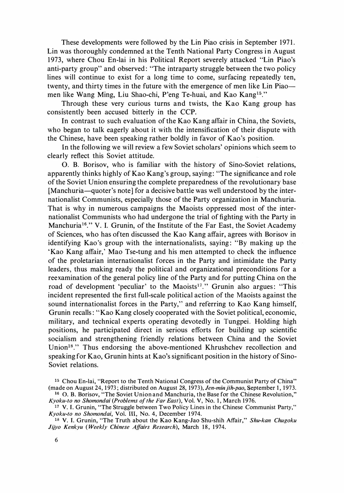These developments were followed by the Lin Piao crisis in September 1971. Lin was thoroughly condemned at the Tenth National Party Congress in August 1973, where Chou En-lai in his Political Report severely attacked "Lin Piao's anti-party group" and observed : "The intraparty struggle between the two policy lines will continue to exist for a long time to come, surfacing repeatedly ten, twenty, and thirty times in the future with the emergence of men like Lin Piao men like Wang Ming, Liu Shao-chi, P'eng Te-huai, and Kao Kang<sup>15</sup>."

Through these very curious turns and twists, the Kao Kang group has consistently been accused bitterly in the CCP.

In contrast to such evaluation of the Kao Kang affair in China, the Soviets, who began to talk eagerly about it with the intensification of their dispute with the Chinese, have been speaking rather boldly in favor of Kao's position.

In the following we will review a few Soviet scholars' opinions which seem to clearly reflect this Soviet attitude.

0. B. Borisov, who is familiar with the history of Sino・Soviet relations, apparently thinks highly of Kao Kang's group, saying: "The significance and role of the Soviet Union ensuring the complete preparedness of the revolutionary base [Manchuria-quoter's note] for a decisive battle was well understood by the internationalist Communists, especially those of the Party organization in Manchuria. That is why in numerous campaigns the Maoists oppressed most of the internationalist Communists who had undergone the trial of fighting with the Party in Manchuria<sup>16</sup>." V. I. Grunin, of the Institute of the Far East, the Soviet Academy of Sciences, who has often discussed the Kao Kang affair, agrees with Borisov in identifying Kao's group with the internationalists, saying: "By making up the 'Kao Kang affair,' Mao Tse-tung and his men attempted to check the influence of the proletarian internationalist forces in the Party and intimidate the Party leaders, thus making ready the political and organizational preconditions for a reexamination of the general policy line of the Party and for putting China on the road of development 'peculiar' to the Maoists<sup>17</sup>." Grunin also argues: "This incident represented the first full-scale political action of the Maoists against the sound internationalist forces in the Party,'' and referring to Kao Kang himself, Grunin recalls : "Kao Kang closely cooperated with the Soviet political, economic, military, and technical experts operating devotedly in Tungpei. Holding high positions, he participated direct in serious efforts for building up scientific socialism and strengthening friendly relations between China and the Soviet Union18." Thus endorsing the above-mentioned Khrushchev recollection and speaking for Kao, Grunin hints at Kao's significant position in the history of Sino-Soviet relations.

<sup>18</sup> V. I. Grunin, "The Truth about the Kao Kang-Jao Shu-shih Affair," Shu-kan Chugoku Jijyo Kenkyu (Weekly Chinese Affairs Research), March 18, 1974.

<sup>&</sup>lt;sup>15</sup> Chou En-lai, "Report to the Tenth National Congress of the Communist Party of China" (made on August 24, 1973; distributed on August 28, 1973), Jen-min jih-pao, September 1, 1973.

<sup>16 0.</sup> B. Borisov,"The Soviet Union and Manchuria, the Base for the Chinese Revolution,'' Kyoku-to no Shomondai (Problems of the Far East), Vol. V, No. 1, March 1976.

<sup>&</sup>lt;sup>17</sup> V. I. Grunin, "The Struggle between Two Policy Lines in the Chinese Communist Party," Kyoku-to no Shomondai, Vol. III, No. 4, December 1974.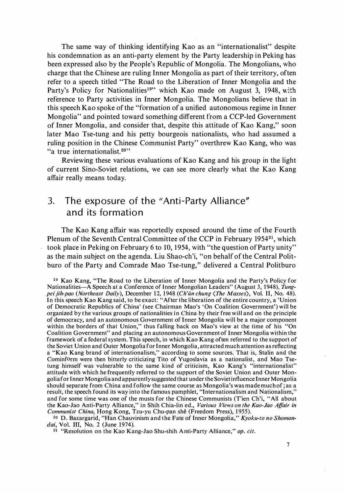The same way of thinking identifying Kao as an "internationalist" despite his condemnation as an anti-party element by the Party leadership in Peking has been expressed also by the People's Republic of Mongolia. The Mongolians, who charge that the Chinese are ruling Inner Mongolia as part of their territory, often refer to a speech titled "The Road to the Liberation of Inner Mongolia and the Party's Policy for Nationalities<sup>19</sup>" which Kao made on August 3, 1948, with reference to Party activities in Inner Mongolia. The Mongolians believe that in this speech Kao spoke of the "formation of a unified autonomous regime in Inner Mongolia" and pointed toward something different from a CCP-led Government of Inner Mongolia, and consider that, despite this attitude of Kao Kang," soon later Mao Tse-tung and his petty bourgeois nationalists, who had assumed a ruling position in the Chinese Communist Party" overthrew Kao Kang, who was "a true internationalist.<sup>20"</sup>

Reviewing these various evaluations of Kao Kang and his group in the light of current Sino-Soviet relations, we can see more clearly what the Kao Kang affair really means today.

## 3. The exposure of the "Anti-Party Alliance" and its formation

The Kao Kang affair was reportedly exposed around the time of the Fourth Plenum of the Seventh Central Committee of the CCP in February 1954<sup>21</sup>, which took place in Peking on February 6 to 10, 1954, with "the question of Party unity" as the main subject on the agenda. Liu Shao-ch'i, "on behalf of the Central Politburo of the Party and Comrade Mao Tse-tung," delivered a Central Politburo

<sup>20</sup> D. Bazargarid, "Han Chauvinism and the Fate of Inner Mongolia,"  $Kyoku-to no Shomon$ dai, Vol. III, No. 2 (June 1974).

<sup>19</sup> Kao Kang, "The Road to the Liberation of Inner Mongolia and the Party's Policy for Nationalities-A Speech at a Conference of Inner Mongolian Leaders" (August 3, 1948), Tungpei jih-pao (Northeast Daily), December 12, 1948 (Ch'ün chung  $\langle$ The Masses $\rangle$ , Vol. II, No. 48). In this speech Kao Kang said, to be exact :"After the liberation of the entire country, a 'Union of Democratic Republics of China' (see Chairman Mao's'On Coalition Government') will be organized by the various groups of nationalities in China by their free will and on the principle of democracy, and an autonomous Government of Inner Mongolia will be a major component within the borders of that Union," thus falling back on Mao's view at the time of his "On Coalition Government" and placing an autonomous Government of Inner Mongolia within the framework of a federal system. This speech, in which Kao Kang often referred to the support of the Soviet Union and Outer Mongolia for Inner Mongolia, attracted much attention as reflecting a "Kao Kang brand of internationalism," according to some sources. That is, Stalin and the Cominform were then bitterly criticizing Tito of Yugoslavia as a nationalist, and Mao Tsetung himself was vulnerable to the same kind of criticism, Kao Kang's "internationalist" attitude with which he frequently referred to the support of the Soviet Union and Outer Mongolia for Inner Mongolia and apparently suggested that under the Soviet influence Inner Mongolia should separate from China and follow the same course as Mongolia's was made much of; as a result, the speech found its way into the famous pamphlet, "Internationalism and Nationalism," and for some time was one of the musts for the Chinese Communists (T'ien Ch'i, "All about the Kao-Jao Anti-Party Alliance," in Shih Chia-lin ed., Various Views on the Kao-Jao Affair in Communist China, Hong Kong, Tzu-yu Chu-pan shê (Freedom Press), 1955).

 $21$  "Resolution on the Kao Kang-Jao Shu-shih Anti-Party Alliance," op. cit.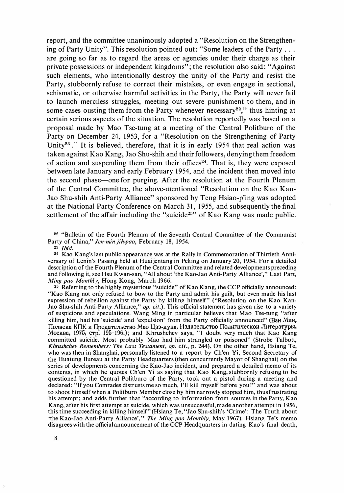report, and the committee unanimously adopted a "Resolution on the Strengthening of Party Unity". This resolution pointed out: "Some leaders of the Party ... are going so far as to regard the areas or agencies under their charge as their private possessions or independent kingdoms"; the resolution also said : "Against such elements, who intentionally destroy the unity of the Party and resist the Party, stubbornly refuse to correct their mistakes, or even engage in sectional, schismatic, or otherwise harmful activities in the Party, the Party will never fail to launch merciless struggles, meeting out severe punishment to them, and in some cases ousting them from the Party whenever necessary<sup>22</sup>," thus hinting at certain serious aspects of the situation. The resolution reportedly was based on a proposal made by Mao Tse-tung at a meeting of the Central Politburo of the Party on December 24, 1953, for a "Resolution on the Strengthening of Party Unity<sup>23</sup>." It is believed, therefore, that it is in early 1954 that real action was taken against Kao Kang, Jao Shu・shih and their followers, denying them freedom of action and suspending them from their offices<sup>24</sup>. That is, they were exposed between late January and early February 1954, and the incident then moved into the second phase—one for purging. After the resolution at the Fourth Plenum of the Central Committee, the above-mentioned "Resolution on the Kao Kan-Jao Shu・shih Anti-Party Alliance" sponsored by Teng Hsiao・p'ing was adopted at the National Party Conference on March 31, 1 955, and subsequently the final settlement of the affair including the "suicide<sup>25</sup>" of Kao Kang was made public.

22 "Bulletin of the Fourth Plenum of the Seventh Central Committee of the Communist Party of China," Jen-min jih-pao, February 18, 1954.

23 Ibid.

<sup>24</sup> Kao Kang's last public appearance was at the Rally in Commemoration of Thirtieth Anniversary of Lenin's Passing held at Huaijentang in Peking on January 20, 1954. For a detailed description of the Fourth Plenum of the Central Committee and related developments preceding and following it, see Hsu Kwan-san, "All about 'the Kao-Jao Anti-Party Alliance'," Last Part, Ming pao Monthly, Hong Kong, March 1966.

 $25$  Referring to the highly mysterious "suicide" of Kao Kang, the CCP officially announced: "Kao Kang not only refused to bow to the Party and admit his guilt, but even made his last expression of rebellion against the Party by killing himself" ("Resolution on the Kao Kan-Jao Shu-shih Anti-Party Alliance," op. cit.). This official statement has given rise to a variety of suspicions and speculations. Wang Ming in particular believes that Mao Tse-tung "after killing him, had his 'suicide' and 'expulsion' from the Party officially announced" (Ван Мин, Полвека КПК и Предательство Мао Цзэ-дуна, Издательство Полигцческои Литературы, MocKea, 1975, CTp. 195-196.); and Khrushchev says, "I doubt very much that Kao Kang committed suicide. Most probably Mao had him strangled or poisoned" (Strobe Talbott, Khrushchev Remembers: The Last Testament, op. cit., p. 244). On the other hand, Hsiang Te, who was then in Shanghai, personally listened to a report by Ch'en Yi, Second Secretary of the Huatung Bureau at the Party Headquarters �then concurrently Mayor of Shanghai) on the series of developments concerning the Kao-Jao incident, and prepared a detailed memo of its contents, in which he quotes Ch'en Yi as saying that Kao Kang, stubbornly refusing to be questioned by the Central Politburo of the Party, took out a pistol during a meeting and declared : "If you Comrades distrusts me so much, I'H kill myself before you!'' and was about to shoot himself when a Politburo Member close by him narrowly stopped him, thus frustrating his attempt; and adds further that "according to information from sources in the Party, Kao Kang, after his first attempt at suicide, which was unsuccessful, made another attempt in 1956, this time succeeding in killing himself" (Hsiang Te, "Jao Shu・shih's 'Crime': The Truth about 'the Kao-Jao Anti-Party Alliance','' The Ming pao Monthly, May 1967). Hsiang Te's memo disagrees with the official announcement of the CCP Headquarters in dating Kao's final death,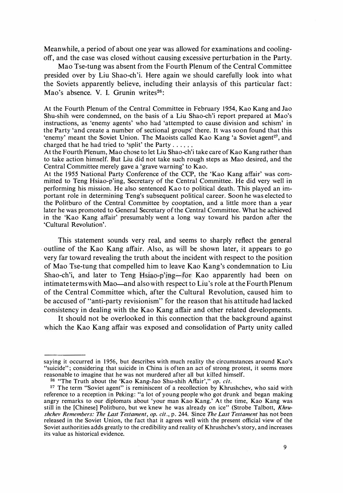Meanwhile, a period of about one year was allowed for examinations and coolingoff, and the case was closed without causing excessive perturbation in the Party.

Mao Tse-tung was absent from the Fourth Plenum of the Central Committee presided over by Liu Shao-ch'i. Here again we should carefully look into what the Soviets apparently believe, including their anlaysis of this particular fact: Mao's absence. V. I. Grunin writes<sup>26</sup>:

At the Fourth Plenum of the Central Committee in February 1954, Kao Kang and Jao Shu-shih were condemned, on the basis of a Liu Shao-ch'i report prepared at Mao's instructions, as'enemy agents' who had 'attempted to cause division and schism' in the Party 'and create a number of sectional groups' there. It was soon found that this 'enemy' meant the Soviet Union. The Maoists called Kao Kang 'a Soviet agent<sup>27</sup>, and charged that he had tried to 'split' the Party .....

At the Fourth Plenum, Mao chose to let Liu Shao-ch'i take care of Kao Kang rather than to take action himself. But Liu did not take such rough steps as Mao desired, and the Central Committee merely gave a'grave warning' to Kao.

At the 1955 National Party Conference of the CCP, the 'Kao Kang affair' was committed to Teng Hsiao-p'ing, Secretary of the Central Committee. He did very well in performing his mission. He also sentenced Kao to political death. This played an important role in determining Teng's subsequent political career. Soon he was elected to the Politburo of the Central Committee by cooptation, and a little more than a year later he was promoted to General Secretary of the Central Committee. What he achieved in the 'Kao Kang affair' presumably went a long way toward his pardon after the 'Cultural Revolution'.

This statement sounds very real, and seems to sharply reflect the general outline of the Kao Kang affair. Also, as will be shown later, it appears to go very far toward revealing the truth about the incident with respect to the position of Mao Tse-tung that compelled him to leave Kao Kang's condemnation to Liu Shao-ch'i, and later to Teng Hsiao-p'ing-for Kao apparently had been on intimate terms with Mao—and also with respect to Liu's role at the Fourth Plenum of the Central Committee which, after the Cultural Revolution, caused him to be accused of "anti-party revisionism" for the reason that his attitude had lacked consistency in dealing with the Kao Kang affair and other related developments.

It should not be overlooked in this connection that the background against which the Kao Kang affair was exposed and consolidation of Party unity called

saying it occurred in 1956, but describes with much reality the circumstances around Kao's "suicide"; considering that suicide in China is often an act of strong protest, it seems more reasonable to imagine that he was not murdered after all but killed himself.

<sup>&</sup>lt;sup>26</sup> "The Truth about the 'Kao Kang-Jao Shu-shih Affair'," op. cit.

<sup>&</sup>lt;sup>27</sup> The term "Soviet agent" is reminiscent of a recollection by Khrushchev, who said with reference to a reception in Peking: "a lot of young people who got drunk and began making angry remarks to our diplomats about 'your man Kao Kang.' At the time, Kao Kang was still in the [Chinese] Politburo, but we knew he was already on ice" (Strobe Talbott, Khrushchev Remembers: The Last Testament, op. cit., p. 244. Since The Last Testament has not been released in the Soviet Union, the fact that it agrees well with the present official view of the Soviet authorities adds greatly to the credibility and reality of Khrushchev's story, and increases its value as historical evidence.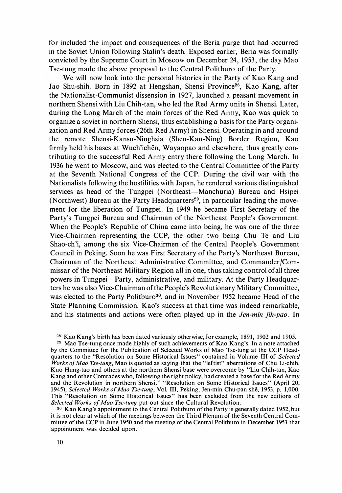for included the impact and consequences of the Beria purge that had occurred in the Soviet Union following Stalin's death. Exposed earlier, Beria was formally convicted by the Supreme Court in Moscow on December 24, 1953, the day Mao Tse-tung made the above proposal to the Central Politburo of the Party.

We will now look into the personal histories in the Party of Kao Kang and Jao Shu-shih. Born in 1892 at Hengshan, Shensi Province<sup>28</sup>, Kao Kang, after the Nationalist-Communist dissension in 1927, launched a peasant movement in northern Shensi with Liu Chih・tan, who led the Red Army units in Shensi. Later, during the Long March of the main forces of the Red Army, Kao was quick to organize a soviet in northern Shensi, thus establishing a basis for the Party organization and Red Army forces (26th Red Army) in Shensi. Operating in and around the remote Shensi-Kansu-Ninghsia (Shen-Kan・Ning) Border Region, Kao firmly held his bases at Wuch'ichên, Wayaopao and elsewhere, thus greatly contributing to the successful Red Army entry there following the Long March. In 1936 he went to Moscow, and was elected to the Central Committee of the Party at the Seventh National Congress of the CCP. During the civil war with the Nationalists following the hostilities with Japan, he rendered various distinguished services as head of the Tungpei (Northeast—Manchuria) Bureau and Hsipei (Northwest) Bureau at the Party Headquarters<sup>29</sup>, in particular leading the movement for the liberation of Tungpei. In 1949 he became First Secretary of the Party's Tungpei Bureau and Chairman of the Northeast People's Government. When the People's Republic of China came into being, he was one of the three Vice-Chairmen representing the CCP, the other two being Chu Te and Liu Shao-ch'i, among the six Vice-Chairmen of the Central People's Government Council in Peking. Soon he was First Secretary of the Party'S Northeast Bureau, Chairman of the Northeast Administrative Committee, and Commander/Commissar of the Northeast Military Region all in one, thus taking control ofall three powers in Tungpei—Party, administrative, and military. At the Party Headquarters he was also Vice-Chairman of the People's Revolutionary Military Committee, was elected to the Party Politburo<sup>30</sup>, and in November 1952 became Head of the State Planning Commission. Kao's success at that time was indeed remarkable, and his statments and actions were often played up in the Jen-min jih-pao. In

28 Kao Kang's birth has been dated variously otherwise, for example, 1891, 1902 and 1905.

29 Mao Tse-tung once made highly of such achievements of Kao Kang's. In a note attached by the Committee for the Publication of Selected Works of Mao Tse-tung at the CCP Headquarters to the "Resolution on Some Historical Issues" contained in Volume III of Selected Works of Mao Tse-tung, Mao is quoted as saying that the "leftist" aberrations of Chu Li-chih, Kuo Hung-tao and others at the northern Shensi base were overcome by "Liu Chih-tan, Kao Kang and other Comrades who, following the right policy, had created a base for the Red Army and the Revolution in northern Shensi." "Resolution on Some Historical Issues" (April 20, 1945), Selected Works of Mao Tse-tung, Vol. III, Peking, Jen-min Chu-pan shê, 1953, p. 1,000. This "Resolution on Some Historical Issues" has been excluded from the new editions of Selected Works of Mao Tse-tung put out since the Cultural Revolution.

3° Kao Kang's appointment to the Central Politburo of the Party is generally dated 1952, but it is not clear at which of the meetings between the Third Plenum of the Seventh Central Committee of the CCP in June 1950 and the meeting of the Central Politburo in December 1953 that appointment was decided upon.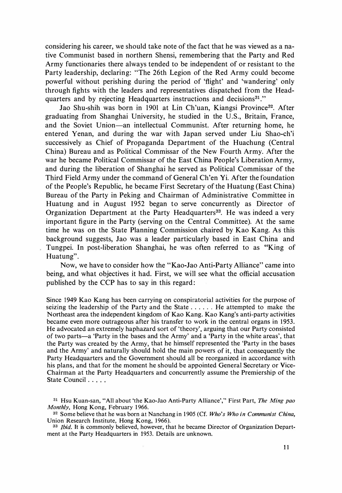considering his career, we should take note of the fact that he was viewed as a native Communist based in northern Shensi, remembering that the Party and Red Army functionaries there always tended to be independent of or resistant to the Party leadership, declaring: "The 26th Legion of the Red Army could become powerful without perishing during the period of 'flight' and 'wandering' only through fights with the leaders and representatives dispatched from the Headquarters and by rejecting Headquarters instructions and decisions<sup>31</sup>."

Jao Shu-shih was born in 1901 at Lin Ch'uan, Kiangsi Province<sup>32</sup>. After graduating from Shanghai University, he studied in the U.S., Britain, France, and the Soviet Union-an intellectual Communist. After returning home, he entered Yenan, and during the war with Japan served under Liu Shao・ch'i successively as Chief of Propaganda Department of the Huachung (Central China) Bureau and as Political Commissar of the New Fourth Army. After the war he became Political Commissar of the East China People's Liberation Army, and during the liberation of Shanghai he served as Political Commissar of the Third Field Army under the command of General Ch'en Yi. After the foundation of the People's Republic, he became First Secretary of the Huatung (East China) Bureau of the Party in Peking and Chairman of Administrative Committee in Huatung and in August 1952 began to serve concurrently as Director of Organization Department at the Party Headquarters<sup>33</sup>. He was indeed a very important figure in the Party (serving on the Central Committee). At the same time he was on the State Planning Commission chaired by Kao Kang. As this background suggests, Jao was a leader particularly based in East China and Tungpei. In post-liberation Shanghai, he was often referred to as "King of Huatung".

Now, we have to consider how the "Kao・Jao Anti-Party Alliance" came into being, and what objectives it had. First, we will see what the official accusation published by the CCP has to say in this regard:

Since 1949 Kao Kang has been carrying on conspiratorial activities for the purpose of seizing the leadership of the Party and the State  $\dots$ ... He attempted to make the Northeast area the independent kingdom of Kao Kang. Kao Kang's anti-party activities became even more outrageous after his transfer to work in the central organs in 1953. He advocated an extremely haphazard sort of 'theory', arguing that our Party consisted of two parts-a'Party in the bases and the Army' and a'Party in the white areas', that the Party was created by the Army, that he himself represented the'Party in the bases and the Army' and naturally should hold the main powers of it, that consequently the Party Headquarters and the Government should all be reorganized in accordance with his plans, and that for the moment he should be appointed General Secretary or Vice-Chairman at the Party Headquarters and concurrently assume the Premiership of the State Council . . . . .

<sup>&</sup>lt;sup>31</sup> Hsu Kuan-san, "All about 'the Kao-Jao Anti-Party Alliance'," First Part, The Ming pao Monthly, Hong Kong, February 1966.

 $32$  Some believe that he was born at Nanchang in 1905 (Cf. Who's Who in Communist China, Union Research Institute, Hong Kong, 1966).

<sup>&</sup>lt;sup>33</sup> Ibid. It is commonly believed, however, that he became Director of Organization Department at the Party Headquarters in 1953. Details are unknown.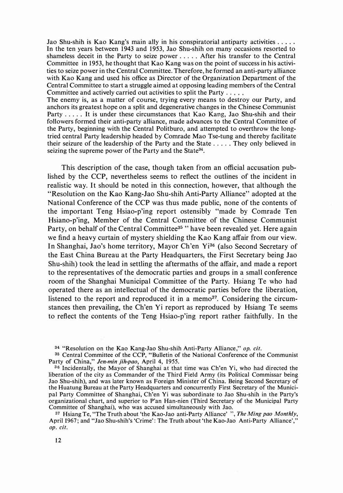Jao Shu-shih is Kao Kang's main ally in his conspiratorial antiparty activities . . . . . In the ten years between 1943 and 1953, Jao Shu-shih on many occasions resorted to shameless deceit in the Party to seize power ..... After his transfer to the Central Committee in 1953, he thought that Kao Kang was on the point of success in his activities to seize power in the Central Committee. Therefore, he formed an anti-party alliance with Kao Kang and used his office as Director of the Organization Department of the Central Committee to start a struggle aimed at opposing leading members of the Central Committee and actively carried out activities to split the Party  $\dots$ .

The enemy is, as a matter of course, trying every means to destroy our Party, and anchors its greatest hope on a split and degenerative changes in the Chinese Communist Party ..... It is under these circumstances that Kao Kang, Jao Shu-shih and their followers formed their anti-party alliance, made advances to the Central Committee of the Party, beginning with the Central Politburo, and attempted to overthrow the longtried central Party leadership headed by Comrade Mao Tse-tung and thereby facilitate their seizure of the leadership of the Party and the State ..... They only believed in seizing the supreme power of the Party and the State<sup>34</sup>.

This description of the case, though taken from an official accusation published by the CCP, nevertheless seems to reflect the outlines of the incident in realistic way. It should be noted in this connection, however, that although the "Resolution on the Kao Kang-Jao Shu・shih Anti-Party Alliance" adopted at the National Conference of the CCP was thus made public, none of the contents of the important Teng Hsiao-p'ing report ostensibly "made by Comrade Ten Hsiano・p'ing, Member of the Central Committee of the Chinese Communist Party, on behalf of the Central Committee<sup>35</sup> " have been revealed yet. Here again we find a heavy curtain of mystery shielding the Kao Kang affair from our view. In Shanghai, Jao's home territory, Mayor Ch'en Yi36 (also Second Secretary of the East China Bureau at the Party Headquarters, the First Secretary being Jao Shu-shih) took the lead in settling the aftermaths of the affair, and made a report to the representatives of the democratic parties and groups in a small conference room of the Shanghai Municipal Committee of the Party. Hsiang Te who had operated there as an intellectual of the democratic parties before the liberation, listened to the report and reproduced it in a memo<sup>37</sup>. Considering the circumstances then prevailing, the Ch'en Yi report as reproduced by Hsiang Te seems to reflect the contents of the Teng Hsiao-p'ing report rather faithfully. In the

 $34$  "Resolution on the Kao Kang-Jao Shu-shih Anti-Party Alliance," op. cit.

<sup>35</sup> Central Committee of the CCP, "Bulletin of the National Conference of the Communist Party of China," Jen-min jih-pao, April 4, 1955.

<sup>36</sup> Incidentally, the Mayor of Shanghai at that time was Ch'en Yi, who had directed the liberation of the city as Commander of the Third Field Army (its Political Commissar being Jao Shu-shih), and was later known as Foreign Minister of China. Being Second Secretary of the Huatung Bureau at the Party Headquarters and concurrently First Secretary of the Municipal Party Committee of Shanghai, Ch'en Yi was subordinate to Jao Shu-shih in the Party's organizational chart, and superior to P'an Han-nien (Third Secretary of the Municipal Party Committee of Shanghai), who was accused simultaneously with Jao.

<sup>&</sup>lt;sup>37</sup> Hsiang Te, "The Truth about 'the Kao-Jao anti-Party Alliance' ", *The Ming pao Monthly*, April 1967; and "Jao Shu-shih's 'Crime': The Truth about 'the Kao-Jao Anti-Party Alliance', op. cit.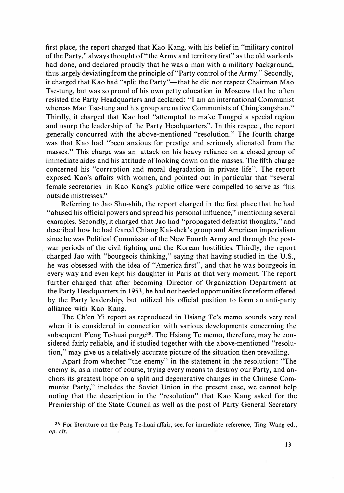first place, the report charged that Kao Kang, with his belief in "military control of the Party,'' always thought of"the Army and territory first" as the old warlords had done, and declared proudly that he was a man with a military background, thus largely deviating from the principle of"Party control of the Army." Secondly, it charged that Kao had "split the Party"—that he did not respect Chairman Mao Tse-tung, but was so proud of his own petty education in Moscow that he often resisted the Party Headquarters and declared : "I am an international Communist whereas Mao Tse-tung and his group are native Communists of Chingkangshan." Thirdly, it charged that Kao had "attempted to make Tungpei a special region and usurp the leadership of the Party Headquarters''. In this respect, the report generally concurred with the above-mentioned "resolution." The fourth charge was that Kao had "been anxious for prestige and seriously alienated from the masses." This charge was an attack on his heavy reliance on a closed group of immediate aides and his attitude of looking down on the masses. The fifth charge concerned his "corruption and moral degradation in private life". The report exposed Kao's affairs with women, and pointed out in particular that "several female secretaries in Kao Kang's public office were compelled to serve as "his outside mistresses."

Referring to Jao Shu-shih, the report charged in the first place that he had "abused his official powers and spread his personal influence," mentioning several examples. Secondly, it charged that Jao had "propagated defeatist thoughts," and described how he had feared Chiang Kai・shek's group and American imperialism since he was Political Commissar of the New Fourth Army and through the postwar periods of the civil fighting and the Korean hostilities. Thirdly, the report charged Jao with "bourgeois thinking," saying that having studied in the U.S., he was obsessed with the idea of "America first", and that he was bourgeois in every way and even kept his daughter in Paris at that very moment. The report further charged that after becoming Director of Organization Department at the Party Headquarters in 1953, he had not heeded opportunities for reform offered by the Party leadership, but utilized his official position to form an anti-party alliance with Kao Kang.

The Ch'en Yi report as reproduced in Hsiang Te's memo sounds very real when it is considered in connection with various developments concerning the subsequent P'eng Te-huai purge<sup>38</sup>. The Hsiang Te memo, therefore, may be considered fairly reliable, and if studied together with the above-mentioned "resolution," may give us a relatively accurate picture of the situation then prevailing.

Apart from whether "the enemy" in the statement in the resolution: "The enemy is, as a matter of course, trying every means to destroy our Party, and anchors its greatest hope on a split and degenerative changes in the Chinese Communist Party," includes the Soviet Union in the present case, we cannot help noting that the description in the "resolution" that Kao Kang asked for the Premiership of the State Council as well as the post of Party General Secretary

<sup>&</sup>lt;sup>38</sup> For literature on the Peng Te-huai affair, see, for immediate reference, Ting Wang ed., op. cit.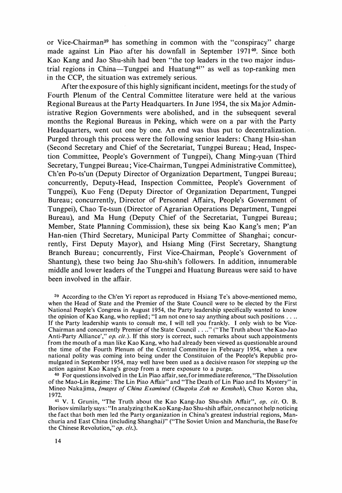or Vice-Chairman39 has something in common with the "conspiracy" charge made against Lin Piao after his downfall in September 1971<sup>40</sup>. Since both Kao Kang and Jao Shu-shih had been "the top leaders in the two major industrial regions in China-Tungpei and Huatung<sup>41"</sup> as well as top-ranking men in the CCP, the situation was extremely serious.

After the exposure of this highly significant incident, meetings for the study of Fourth Plenum of the Central Committee literature were held at the various Regional Bureaus at the Party Headquarters. In June 1954, the six Major Administrative Region Governments were abolished, and in the subsequent several months the Regional Bureaus in Peking, which were on a par with the Party Headquarters, went out one by one. An end was thus put to decentralization. Purged through this process were the following senior leaders: Chang Hsiu-shan (Second Secretary and Chief of the Secretariat, Tungpei Bureau ; Head, Inspection Committee, People's Government of Tungpei), Chang Ming-yuan (Third Secretary, Tungpei Bureau; Vice-Chairman, Tungpei Administrative Committee), Ch'en Po・ts'un (Deputy Director of Organization Department, Tungpei Bureau; concurrently, Deputy-Head, Inspection Committee, People's Government of Tungpei), Kuo Feng (Deputy Director of Organization Department, Tungpei Bureau; concurrently, Director of Personnel Affairs, People's Government of Tungpei), Chao Te-tsun (Director of Agrarian Operations Department, Tungpei Bureau), and Ma Hung (Deputy Chief of the Secretariat, Tungpei Bureau; Member, State Planning Commission), these six being Kao Kang's men; P'an Han-nien (Third Secretary, Municipal Party Committee of Shanghai; concurrently, First Deputy Mayor), and Hsiang Ming (First Secretary, Shangtung Branch Bureau; concurrently, First Vice-Chairman, People's Government of Shantung), these two being Jao Shu-shih's followers. In addition, innumerable middle and lower leaders of the Tungpei and Huatung Bureaus were said to have been involved in the affair.

4° For questions involved in the Lin Piao affair, see, for immediate reference, "The Dissolution of the Mao-Lin Regime: The Lin Piao Affair" and "The Death of Lin Piao and Its Mystery" in Mineo Nakajima, *Images of China Examined* (Chugoku Zoh no Kenshoh), Chuo Koron sha, 1 972.

<sup>41</sup> V. I. Grunin, "The Truth about the Kao Kang-Jao Shu-shih Affair", op. cit. O. B. Borisov similarly says: "In analyzing the Kao Kang-Jao Shu-shih affair, one cannot help noticing the fact that both men led the Party organization in China's greatest industrial regions, Manchuria and East China (including Shanghai)" ("The Soviet Union and Manchuria, the Base for the Chinese Revolution," op. cit.).

<sup>39</sup> According to the Ch'en Yi report as reproduced in Hsiang Te's above-mentioned memo, when the Head of State and the Premier of the State Council were to be elected by the First National People's Congress in August 1954, the Party leadership specifically wanted to know the opinion of Kao Kang, who replied; "I am not one to say anything about such positions ... If the Party leadership wants to consult me, I will tell you frankly. I only wish to be Vice-Chairman and concurrently Premier of the State Council ... .'' ("The Truth about 'the Kao・Jao Anti-Party Alliance'," op. cit.). If this story is correct, such remarks about such appointments from the mouth of a man like Kao Kang, who had already been viewed as questionable around the time of the Fourth Plenum of the Central Committee in February 1954, when a new national polity was coming into being under the Constituion of the People's Republic promulgated in September 1954, may well have been used as a decisive reason for stepping up the action against Kao Kang's group from a mere exposure to a purge.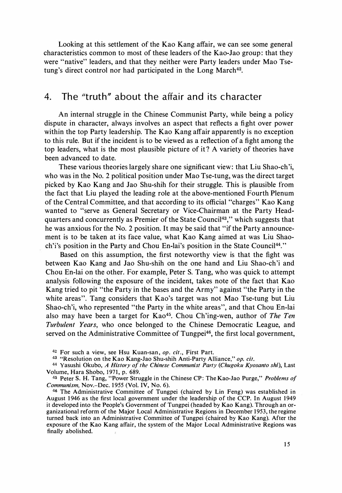Looking at this settlement of the Kao Kang affair, we can see some general characteristics common to most of these leaders of the Kao-Jao group : that they were "native" leaders, and that they neither were Party leaders under Mao Tsetung's direct control nor had participated in the Long March<sup>42</sup>.

## 4. The "truth" about the affair and its character

An internal struggle in the Chinese Communist Party, while being a policy dispute in character, always involves an aspect that reflects a fight over power within the top Party leadership. The Kao Kang affair apparently is no exception to this rule. But if the incident is to be viewed as a reflection of a fight among the top leaders, what is the most plausible picture of it ? A variety of theories have been advanced to date.

These various theories largely share one significant view: that Liu Shao-ch'i, who was in the No. 2 political position under Mao Tse-tung, was the direct target picked by Kao Kang and Jao Shu-shih for their struggle. This is plausible from the fact that Liu played the leading role at the above-mentioned Fourth Plenum of the Central Committee, and that according to its official "charges" Kao Kang wanted to "serve as General Secretary or Vice-Chairman at the Party Headquarters and concurrently as Premier of the State Council43," which suggests that he was anxious for the No. 2 position. It may be said that "if the Party announcement is to be taken at its face value, what Kao Kang aimed at was Liu Shaoch'i's position in the Party and Chou En-lai's position in the State Council<sup>44</sup>."

Based on this assumption, the first noteworthy view is that the fight was between Kao Kang and Jao Shu-shih on the one hand and Liu Shao・ch'i and Chou En-lai on the other. For example, Peter S. Tang, who was quick to attempt analysis following the exposure of the incident, takes note of the fact that Kao Kang tried to pit "the Party in the bases and the Army" against "the Party in the white areas". Tang considers that Kao's target was not Mao Tse-tung but Liu Shao-ch'i, who represented "the Party in the white areas", and that Chou En-lai also may have been a target for Kao<sup>45</sup>. Chou Ch'ing-wen, author of The Ten Turbulent Years, who once belonged to the Chinese Democratic League, and served on the Administrative Committee of Tungpei<sup>46</sup>, the first local government,

<sup>&</sup>lt;sup>42</sup> For such a view, see Hsu Kuan-san, op. cit., First Part.

<sup>43 &</sup>quot;Resolution on the Kao Kang-Jao Shu-shih Anti-Party Alliance," op. cit.

<sup>44</sup> Yasushi Okubo, A History of the Chinese Communist Party (Chugoku Kyosanto shi), Last Volume, Hara Shobo, 1971, p. 689.

<sup>45</sup> Peter S. H. Tang, "Power Struggle in the Chinese CP: The Kao-Jao Purge," Problems of Communism, Nov.-Dec. 1955 (Vol. IV, No. 6).

<sup>46</sup> The Administrative Committee of Tungpei (chaired by Lin Feng) was established in August 1946 as the first local government under the leadership of the CCP. In August 1949 it developed into the People's Government of Tungpei (headed by Kao Kang). Through an organizational reform of the Major Local Administrative Regions in December 1953, the regime turned back into an Administrative Committee of Tungpei (chaired by Kao Kang). After the exposure of the Kao Kang affair, the system of the Major Local Administrative Regions was finally abolished.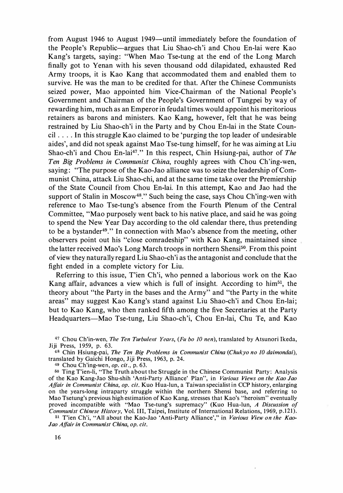from August 1946 to August 1949-until immediately before the foundation of the People's Republic-argues that Liu Shao-ch'i and Chou En-lai were Kao Kang's targets, saying: "When Mao Tse-tung at the end of the Long March finally got to Yenan with his seven thousand odd dilapidated, exhausted Red Army troops, it is Kao Kang that accommodated them and enabled them to survive. He was the man to be credited for that. After the Chinese Communists seized power, Mao appointed him Vice-Chairman of the National People's Government and Chairman of the People's Government of Tungpei by way of rewarding him, much as an Emperor in feudal times would appoint his meritorious retainers as barons and ministers. Kao Kang, however, felt that he was being restrained by Liu Shao-ch'i in the Party and by Chou En-lai in the State Council  $\dots$ . In this struggle Kao claimed to be 'purging the top leader of undesirable aides', and did not speak against Mao Tse-tung himself, for he was aiming at Liu Shao-ch'i and Chou En-lai<sup>47</sup>." In this respect, Chin Hsiung-pai, author of The Ten Big Problems in Communist China, roughly agrees with Chou Ch'ing-wen, saying: "The purpose of the Kao-Jao alliance was to seize the leadership of Communist China, attack Liu Shao-chi, and at the same time take over the Premiership of the State Council from Chou En-lai. In this attempt, Kao and Jao had the support of Stalin in Moscow<sup>48</sup>." Such being the case, says Chou Ch'ing-wen with reference to Mao Tse-tung's absence from the Fourth Plenum of the Central Committee, "Mao purposely went back to his native place, and said he was going to spend the New Year Day according to the old calendar there, thus pretending to be a bystander49." In connection with Mao's absence from the meeting, other observers point out his "close comradeship" with Kao Kang, maintained since the latter received Mao's Long March troops in northern Shensi<sup>50</sup>. From this point of view they naturally regard Liu Shao・ch'i as the antagonist and conclude that the fight ended in a complete victory for Liu.

Referring to this issue, T'ien Ch'i, who penned a laborious work on the Kao Kang affair, advances a view which is full of insight. According to him<sup>51</sup>, the theory about "the Party in the bases and the Army" and "the Party in the white areas" may suggest Kao Kang's stand against Liu Shao-ch'i and Chou En-lai; but to Kao Kang, who then ranked fifth among the five Secretaries at the Party Headquarters-Mao Tse-tung, Liu Shao-ch'i, Chou En-lai, Chu Te, and Kao

 $47$  Chou Ch'in-wen, The Ten Turbulent Years, (Fu bo 10 nen), translated by Atsunori Ikeda, Jiji Press, 1959, p. 63.

48 Chin Hsiung-pai, The Ten Big Problems in Communist China (Chukyo no 10 daimondai), translated by Gaichi Hongo, Jiji Press, 1963, p. 24.

49 Chou Ch'ing-wen, op. cit., p. 63.

50 Ting T'ien-li, "The Truth about the Struggle in the Chinese Communist Party: Analysis of the Kao Kang-Jao Shu-shih 'Anti-Party Alliance' Plan", in Various Views on the Kao Jao Affair in Communist China, op. cit. Kuo Hua-lun, a Taiwan specialist in CCP history, enlarging on the years-long intraparty struggle within the northern Shensi base, and referring to Mao Tsetung's previous high estimation of Kao Kang, stresses that Kao's "heroism" eventually proved incompatible with "Mao Tse-tung's supremacy" (Kuo Hua-lun, A Discussion of Communist Chinese History, Vol. III, Taipei, Institute of International Relations, 1969, p.121).

51 T'ien Ch'i, "All about the Kao-Jao 'Anti-Party Alliance'," in Various View on the Kao-Jao Affair in Communist China, op. cit.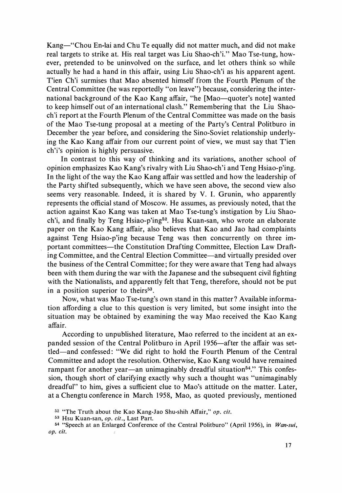Kang-"Chou En-lai and Chu Te equally did not matter much, and did not make real targets to strike at. His real target was Liu Shao-ch'i." Mao Tse-tung, however, pretended to be uninvolved on the surface, and Jet others think so while actually he had a hand in this affair, using Liu Shao-ch'i as his apparent agent. T'ien Ch'i surmises that Mao absented himself from the Fourth Plenum of the Central Committee (he was reportedly "on leave") because, considering the international background of the Kao Kang affair, "he [Mao-quoter's note] wanted to keep himself out of an international clash." Remembering that the Liu Shaoch'i report at the Fourth Plenum of the Central Committee was made on the basis of the Mao Tse-tung proposal at a meeting of the Party's Central Politburo in December the year before, and considering the Sino-Soviet relationship underlying the Kao Kang affair from our current point of view, we must say that Tien ch'i's opinion is highly persuasive.

In contrast to this way of thinking and its variations, another school of opinion emphasizes Kao Kang's rivalry with Liu Shao・ch'i and Teng Hsiao-p'ing. In the light of the way the Kao Kang affair was settled and how the leadership of the Party shifted subsequently, which we have seen above, the second view also seems very reasonable. Indeed, it is shared by V. I. Grunin, who apparently represents the official stand of Moscow. He assumes, as previously noted, that the action against Kao Kang was taken at Mao Tse-tung's instigation by Liu Shaoch'i, and finally by Teng Hsiao-p'ing<sup>52</sup>. Hsu Kuan-san, who wrote an elaborate paper on the Kao Kang affair, also believes that Kao and Jao had complaints against Teng Hsiao-p'ing because Teng was then concurrently on three important committees-the Constitution Drafting Committee, Election Law Drafting Committee, and the Central Election Committee-and virtually presided over the business of the Central Committee ; for they were aware that Teng had always been with them during the war with the Japanese and the subsequent civil fighting with the Nationalists, and apparently felt that Teng, therefore, should not be put in a position superior to theirs $53$ .

Now, what was Mao Tse-tung's own stand in this matter ? Available information affording a clue to this question is very limited, but some insight into the situation may be obtained by examining the way Mao received the Kao Kang affair.

According to unpublished literature, Mao referred to the incident at an expanded session of the Central Politburo in April 1956-after the affair was settied-and confessed : "We did right to hold the Fourth Plenum of the Central Committee and adopt the resolution. Otherwise, Kao Kang would have remained rampant for another year—an unimaginably dreadful situation<sup>54</sup>." This confession, though short of clarifying exactly why such a thought was "unimaginably dreadful" to him, gives a sufficient clue to Mao's attitude on the matter. Later, at a Chengtu conference in March 1958, Mao, as quoted previously, mentioned

<sup>&</sup>lt;sup>52</sup> "The Truth about the Kao Kang-Jao Shu-shih Affair," op. cit.

<sup>53</sup> Hsu Kuan-san, op. cit., Last Part.

<sup>&</sup>lt;sup>54</sup> "Speech at an Enlarged Conference of the Central Politburo" (April 1956), in Wan-sui, Op. Cit.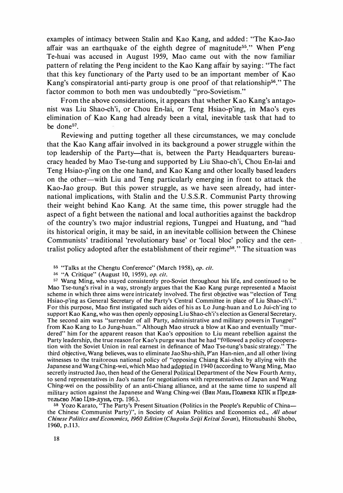examples of intimacy between Stalin and Kao Kang, and added : "The Kao・Jao affair was an earthquake of the eighth degree of magnitude<sup>55</sup>." When P'eng Te-huai was accused in August 1959, Mao came out with the now familiar pattern of relating the Peng incident to the Kao Kang affair by saying : "The fact that this key functionary of the Party used to be an important member of Kao Kang's conspiratorial anti-party group is one proof of that relationship<sup>56</sup>." The factor common to both men was undoubtedly "pro-Sovietism."

From the above considerations, it appears that whether Kao Kang's antagonist was Liu Shao・ch'i, or Chou En-lai, or Teng Hsiao-p'ing, in Mao's eyes elimination of Kao Kang had already been a vital, inevitable task that had to be done<sup>57</sup>.

Reviewing and putting together all these circumstances, we may conclude that the Kao Kang affair involved in its background a power struggle within the top leadership of the Party—that is, between the Party Headquarters bureaucracy headed by Mao Tse-tung and supported by Liu Shao-ch'i, Chou En-lai and Teng Hsiao-p'ing on the one hand, and Kao Kang and other locally based leaders on the other-with Liu and Teng particularly emerging in front to attack the Kao-Jao group. But this power struggle, as we have seen already, had international implications, with Stalin and the U.S.S.R. Communist Party throwing their weight behind Kao Kang. At the same time, this power struggle had the aspect of a fight between the national and local authorities against the backdrop of the country's two major industrial regions, Tungpei and Huatung, and "had its historical origin, it may be said, in an inevitable collision between the Chinese Communists' traditional 'revolutionary base' or 'local bloc' policy and the centralist policy adopted after the establishment of their regime<sup>58</sup>." The situation was

55 "Talks at the Chengtu Conference" (March 1958), op. cit.

56 "A Critique" (August 10, 1959), op. cit.

<sup>57</sup> Wang Ming, who stayed consistently pro-Soviet throughout his life, and continued to be Mao Tse-tung's rival in a way, strongly argues that the Kao Kang purge represented a Maoist scheme in which three aims were intricately involved. The first objective was "election of Teng Hsiao-p'ing as General Secretary of the Party's Central Committee in place of Liu Shao-ch'i." For this purpose, Mao first instigated such aides of his as Lo Jung-huan and Lo Jui-ch'ing to support Kao Kang, who was then openly opposing Liu Shao-ch'i's election as General Secretary. The second aim was "surrender of all Party, administrative and military powers in Tungpei" from Kao Kang to Lo Jung-huan." Although Mao struck a blow at Kao and eventually "murdered" him for the apparent reason that Kao's opposition to Liu meant rebellion against the Party leadership, the true reason for Kao's purge was that he had "followed a policy of cooperation with the Soviet Union in real earnest in definance of Mao Tse-tung's basic strategy." The third objective, Wang believes, was to eliminate Jao Shu-shih, P'an Han-nien, and all other living witnesses to the traitorous national policy of "opposing Chiang Kai-shek by allying with the Japanese and Wang Ching-wei, which Mao had ado�ted in 1 940 (according to Wang Ming, Mao secretly instructed Jao, then head of the General Political Department of the New Fourth Army, to send representatives in Jao's name for negotiations with representatives of Japan and Wang Ching-wei on the possibility of an anti-Chiang alliance, and at the same time to suspend all military action against the Japanese and Wang Ching-wei (Ван Мин, Полвека КПК и Предательсво Мао Цзэ-дуна, стр. 196.).

<sup>58</sup> Yozo Karato, "The Party's Present Situation (Politics in the People's Republic of Chinathe Chinese Communist Party)", in Society of Asian Politics and Economics ed., All about Chinese Politics and Economics, 1960 Edition (Chugoku Seiji Keizai Soran), Hitotsubashi Shobo, 1960, p.113.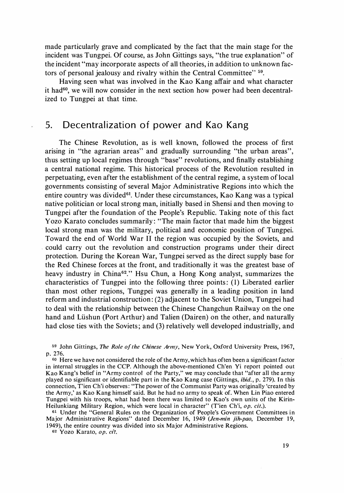made particularly grave and complicated by the fact that the main stage for the incident was Tungpei. Of course, as John Gittings says, "the true explanation" of the incident "may incorporate aspects of all theories, in addition to unknown factors of personal jealousy and rivalry within the Central Committee" <sup>59</sup>.

Having seen what was involved in the Kao Kang affair and what character it had<sup>60</sup>, we will now consider in the next section how power had been decentralized to Tungpei at that time.

## 5. Decentralization of power and Kao Kang

The Chinese Revolution, as is well known, followed the process of first arising in "the agrarian areas" and gradually surrounding "the urban areas", thus setting up local regimes through "base" revolutions, and finally establishing a central national regime. This historical process of the Revolution resulted in perpetuating, even after the establishment of the central regime, a system of local governments consisting of several Major Administrative Regions into which the entire country was divided $61$ . Under these circumstances, Kao Kang was a typical native politician or local strong man, initially based in Shensi and then moving to Tungpei after the foundation of the People's Republic. Taking note of this fact Yozo Karato concludes summarily: "The main factor that made him the biggest local strong man was the military, political and economic position of Tungpei. Toward the end of World War II the region was occupied by the Soviets, and , could carry out the revolution and construction programs under their direct protection. During the Korean War, Tungpei served as the direct supply base for the Red Chinese forces at the front, and traditionally it was the greatest base of heavy industry in China<sup>62</sup>." Hsu Chun, a Hong Kong analyst, summarizes the characteristics of Tungpei into the following three points: (I) Liberated earlier than most other regions, Tungpei was generally in a leading position in land reform and industrial construction : (2) adjacent to the Soviet Union, Tungpei had to deal with the relationship between the Chinese Changchun Railway on the one hand and Liishun (Port Arthur) and Talien (Dairen) on the other, and naturally had close ties with the Soviets; and (3) relatively well developed industrially, and

<sup>59</sup> John Gittings, The Role of the Chinese Army, New York, Oxford University Press, 1967, p. 276.

<sup>60</sup> Here we have not considered the role of the Army, which has often been a significant factor in internal struggles in the CCP. Although the above-mentioned Ch'en Yi report pointed out Kao Kang's belief in "Army control of the Party," we may conclude that "after all the army played no significant or identifiable part in the Kao Kang case (Gittings, *ibid.*, p. 279). In this connection, T'1en Ch'i observes : "The power of the Communist Party was originally 'created by the Army,' as Kao Kang himself said. But he had no army to speak of. When Lin Piao entered Tungpei with his troops, what had been there was limited to Kao's own units of the Kirin-Heilunkiang Military Region, which were local in character" (T'ien Ch'i, op. cit.).

st Under the "General Rules on the Organization of People's Government Committees in Major Administrative Regions" dated December 16, 1949 (Jen-min jih-pao, December 19, 1 949), the entire country was divided into six Major Administrative Regions.

62 Yozo Karato, op. cit.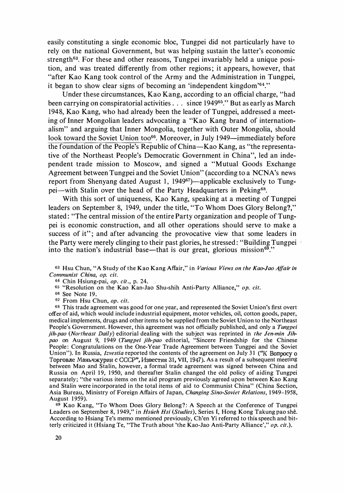easily constituting a single economic bloc, Tungpei did not particularly have to rely on the national Government, but was helping sustain the latter's economic strength63. For these and other reasons, Tungpei invariably held a unique position, and was treated differently from other regions; it appears, however, that "after Kao Kang took control of the Army and the Administration in Tungpei, it began to show clear signs of becoming an 'independent kingdom'64."

Under these circumstances, Kao Kang, according to an official charge, "had been carrying on conspiratorial activities  $\ldots$  since 1949<sup>65</sup>." But as early as March 1948, Kao Kang, who had already been the leader of Tungpei, addressed a meeting of Inner Mongolian leaders advocating a "Kao Kang brand of internationalism" and arguing that Inner Mongolia, together with Outer Mongolia, should look toward the Soviet Union too<sup>66</sup>. Moreover, in July 1949—immediately before the foundation of the People's Republic of China-Kao Kang, as "the representative of the Northeast People's Democratic Government in China", led an independent trade mission to Moscow, and signed a "Mutual Goods Exchange Agreement between Tungpei and the Soviet Union" (according to a NCNA's news report from Shenyang dated August 1, 1949<sup>67</sup>)—applicable exclusively to Tungpei—with Stalin over the head of the Party Headquarters in Peking<sup>68</sup>.

With this sort of uniqueness, Kao Kang, speaking at a meeting of Tungpei leaders on September 8, 1949, under the title, "To Whom Does Glory Belong?," stated: "The central mission of the entire Party organization and people of Tungpei is economic construction, and all other operations should serve to make a success of it"; and after advancing the provocative view that some leaders in the Party were merely clinging to their past glories, he stressed : "Building Tungpei into the nation's industrial base—that is our great, glorious mission<sup>69</sup>."

<sup>63</sup> Hsu Chun, "A Study of the Kao Kang Affair," in Various Views on the Kao-Jao Affair in Communist China, op. cit.

64 Chin Hsiung-pai, op. cit., p. 24.

<sup>65</sup> "Resolution on the Kao Kan-Jao Shu-shih Anti-Party Alliance," op. cit.

66 See Note 19.

67 From Hsu Chun, op. cit.

<sup>68</sup> This trade agreement was good for one year, and represented the Soviet Union's first overt offer of aid, which would include industrial equipment, motor vehicles, oil, cotton goods, paper, medical implements, drugs and other items to be supplied from the Soviet Union to the Northeast People's Government. However, this agreement was not officially published, and only a Tungpei jih-pao (Northeast Daily) editorial dealing with the subject was reprinted in the Jen-min Jihpao on August 9, 1949 (Tungpei jih-pao editorial, "Sincere Friendship for the Chinese People: Congratulations on the One-Year Trade Agreement between Tungpei and the Soviet Union"). In Russia, *Izvestia* reported the contents of the agreement on July 31 ("K Bonpocy o Торговле Маньчжурии с СССР", Известия 31, VII, 1947). As a result of a subsequent meeting between Mao and Stalin, however, a formal trade agreement was signed between China and Russia on April 19, 1950, and thereafter Stalin changed the old policy of aiding Tungpei separately; "the various items on the aid program previously agreed upon between Kao Kang and Stalin were incorporated in the total items of aid to Communist China" (China Section, Asia Bureau, Ministry of Foreign Affairs of Japan, Changing Sino-Soviet Relations, 1949-1958, August 1959).

69 Kao Kang, "To Whom Does Glory Belong?: A Speech at the Conference of Tungpei Leaders on September 8, 1949," in Hsüeh Hsi (Studies), Series I, Hong Kong Takung pao shê. According to Hsiang Te's memo mentioned previously, Ch'en Yi referred to this speech and bitterly criticized it (Hsiang Te, "The Truth about 'the Kao-Jao Anti-Party Alliance'," op. cit.).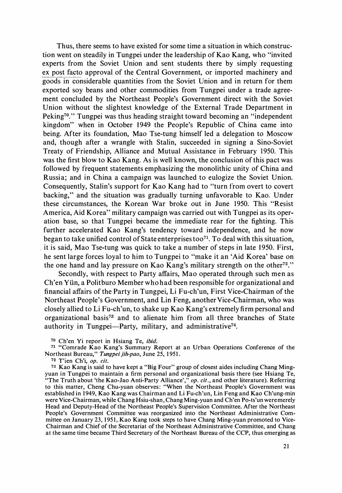Thus, there seems to have existed for some time a situation in which construetion went on steadily in Tungpei under the leadership of Kao Kang, who "invited" experts from the Soviet Union and sent students there by simply requesting ex post facto approval of the Central Government, or imported machinery and goods in considerable quantities from the Soviet Union and in return for them exported soy beans and other commodities from Tungpei under a trade agreement concluded by the Northeast People's Government direct with the Soviet Union without the slightest knowledge of the External Trade Department in Peking70." Tungpei was thus heading straight toward becoming an "independent kingdom" when in October 1949 the People's Republic of China came into being. After its foundation, Mao Tse-tung himself led a delegation to Moscow and, though after a wrangle with Stalin, succeeded in signing a Sino-Soviet Treaty of Friendship, Alliance and Mutual Assistance in February 1950. This was the first blow to Kao Kang. As is well known, the conclusion of this pact was followed by frequent statements emphasizing the monolithic unity of China and Russia; and in China a campaign was launched to eulogize the Soviet Union. Consequently, Stalin's support for Kao Kang had to "turn from overt to covert backing,'' and the situation was gradually turning unfavorable to Kao. Under these circumstances, the Korean War broke out in June 1950. This "Resist America, Aid Korea" military campaign was carried out with Tungpei as its operation base, so that Tungpei became the immediate rear for the fighting. This further accelerated Kao Kang's tendency toward independence, and he now began to take unified control of State enterprises too<sup>71</sup>. To deal with this situation, it is said, Mao Tse-tung was quick to take a number of steps in late 1950. First, he sent large forces loyal to him to Tungpei to "make it an 'Aid Korea' base on the one hand and lay pressure on Kao Kang's military strength on the other<sup>72</sup>."

Secondly, with respect to Party affairs, Mao operated through such men as Ch'en Yiin, a Politburo Member who had been responsible for organizational and financial affairs of the Party in Tungpei, Li Fu-ch'un, First Vice-Chairman of the Northeast People's Government, and Lin Feng, another Vice-Chairman, who was closely allied to Li Fu-ch'un, to shake up Kao Kang's extremely firm personal and organizational basis<sup>73</sup> and to alienate him from all three branches of State authority in Tungpei-Party, military, and administrative<sup>74</sup>.

<sup>7</sup>o Ch'en Yi report in Hsiang Te, ibid.

<sup>71</sup> "Comrade Kao Kang's Summary Report at an Urban Operations Conference of the Northeast Bureau," Tungpei jih-pao, June 25, 1951.

<sup>72</sup> T'1en Ch'i, op. cit.

<sup>73</sup> Kao Kang is said to have kept a "Big Four" group of closest aides including Chang Mingyuan in Tungpei to maintain a firm personal and organizational basis there (see Hsiang Te, "The Truth about 'the Kao-Jao Anti-Party Alliance'," *op. cit.*, and other literature). Referring to this matter, Cheng Chu-yuan observes: "When the Northeast People's Government was established in 1949, Kao Kang was Chairman and Li Fu-ch'un, Lin Feng and Kao Ch'ung-min were Vice-Chairman, while Chang Hsiu-shan, Chang Ming-yuan and Ch'en Po-ts'un weremerely Head and Deputy-Head of the Northeast People's Supervision Committee. After the Northeast People's Government Committee was reorganized into the Northeast Administrative Committee on January 23, 1951, Kao Kang took steps to have Chang Ming-yuan promoted to Vice-Chairman and Chief of the Secretariat of the Northeast Administrative Committee, and Chang at the same time became Third Secretary of the Northeast Bureau of the CCP, thus emerging as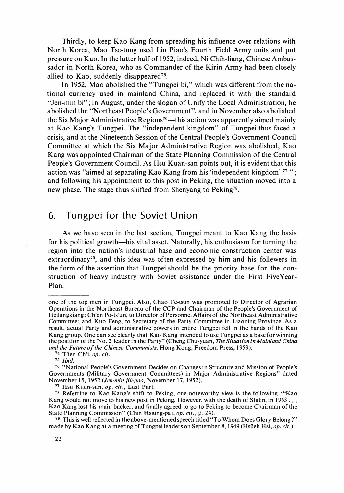Thirdly, to keep Kao Kang from spreading his influence over relations with North Korea, Mao Tse-tung used Lin Piao'S Fourth Field Army units and put pressure on Kao. In the latter half of 1 952, indeed, Ni Chih-Jiang, Chinese Ambassador in North Korea, who as Commander of the Kirin Army had been closely allied to Kao, suddenly disappeared75.

In 1952, Mao abolished the "Tungpei bi," which was different from the national currency used in mainland China, and replaced it with the standard "Jen-min bi"; in August, under the slogan of Unify the Local Administration, he abolished the "Northeast People's Government", and in November also abolished the Six Major Administrative Regions<sup>76</sup>—this action was apparently aimed mainly at Kao Kang'S Tungpei. The "independent kingdom" of Tungpei thus faced a crisis, and at the Nineteenth Session of the Central People's Government Council Committee at which the Six Major Administrative Region was abolished, Kao Kang was appointed Chairman of the State Planning Commission of the Central People's Government Council. As Hsu Kuan-san points out, it is evident that this action was "aimed at separating Kao Kang from his 'mdependent kingdom' 77 "; and following his appointment to this post in Peking, the situation moved into a new phase. The stage thus shifted from Shenyang to Peking78.

### 6. Tungpei for the Soviet Union

As we have seen in the last section, Tungpei meant to Kao Kang the basis for his political growth—his vital asset. Naturally, his enthusiasm for turning the region into the nation'S industrial base and economic construction center was extraordinary79, and this idea was often expressed by him and his follewers in the form of the assertion that Tungpei should be the priority base for the construction of heavy industry with Soviet assistance under the First FiveYear-Plan.

one of the top men in Tungpei. Also, Chao Te-tsun was promoted to Director of Agrarian Operations in the Northeast Bureau of the CCP and Chairman of the People's Government of Heilungkiang; Ch'en Po-ts'un, to Director of Personnel Affairs of the Northeast Administrative Committee; and Kuo Feng, to Secretary of the Party Committee in Liaoning Province. As a result, actual Party and administrative powers in entire Tungpei fell in the hands of the Kao Kang group. One can see clearly that Kao Kang intended to use Tungpei as a base for winning the position of the No. 2 leader in the Party" (Cheng Chu-yuan, The Situation in Mainland China and the Future of the Chinese Communists, Hong Kong, Freedom Press, 1959).

<sup>74</sup> T'ien Ch'i, op. cit.

<sup>75</sup> Ibid.

<sup>76</sup> "National People's Government Decides on Changes in Structure and Mission of People's Governments (Military Government Committees) in Major Administrative Regions" dated November 15, 1952 (Jen-min jih-pao, November 17, 1952).

<sup>77</sup> Hsu Kuan-san, op. cit., Last Part.

<sup>78</sup> Referring to Kao Kang's shift to Peking, one noteworthy view is the following : -"Kao Kang would not move to his new post in Peking. However, with the death of Stalin, in 1953... Kao Kang lost his main backer, and finally agreed to go to Peking to become Chairman of the State Planning Commission" (Chin Hsiung-pai, *op. cit.*, p. 24).

<sup>79</sup> This is well reflected in the above-mentioned speech titled "To Whom Does Glory Belong?" made by Kao Kang at a meeting of Tungpei leaders on September 8, 1949 (Hsüeh Hsi, op. cit.).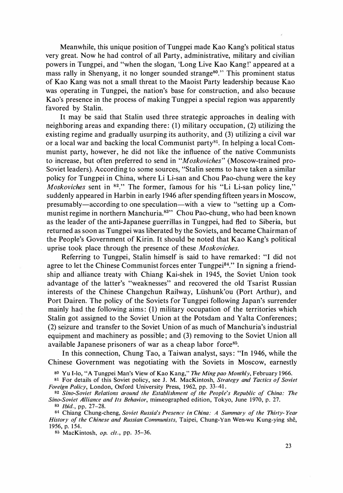Meanwhile, this unique position ofTungpei made Kao Kang's political status very great. Now he had control of all Party, administrative, military and civilian powers in Tungpei, and "when the slogan, 'Long Live Kao Kang!' appeared at a mass rally in Shenyang, it no longer sounded strange<sup>80</sup>." This prominent status of Kao Kang was not a small threat to the Maoist Party leadership because Kao was operating in Tungpei, the nation's base for construction, and also because Kao's presence in the process of making Tungpei a special region was apparently favored by Stalin.

It may be said that Stalin used three strategic approaches in dealing with neighboring areas and expanding there : (1) military occupation, (2) utilizing the existing regime and gradually usurping its authority, and (3) utilizing a civil war or a local war and backing the local Communist party<sup>81</sup>. In helping a local Communist party, however, he did not like the influence of the native Communists to increase, but often preferred to send in "Moskoviches'' (Moscow-trained pro-Soviet leaders). According to some sources, "Stalin seems to have taken a similar policy for Tungpei in China, where Li Li-san and Chou Pao-chung were the key Moskoviches sent in <sup>82</sup>." The former, famous for his "Li Li-san policy line," suddenly appeared in Harbin in early 1946 after spending fifteen years in Moscow, presumably—according to one speculation—with a view to "setting up a Communist regime in northern Manchuria.<sup>83</sup>" Chou Pao-chung, who had been known as the leader of the anti-Japanese guerrillas in Tungpei, had fled to Siberia, but returned as soon as Tungpei was liberated by the Soviets, and became Chairman of the People's Government of Kirin. It should be noted that Kao Kang's political uprise took place through the presence of these Moskoviches.

Referring to Tungpei, Stalin himself is said to have remarked : "I did not agree to let the Chinese Communist forces enter Tungpei<sup>84</sup>." In signing a friendship and alliance treaty with Chiang Kai-shek in 1945, the Soviet Union took advantage of the latter's "weaknesses" and recovered the old Tsarist Russian interests of the Chinese Changchun Railway, Liishunk'ou (Port Arthur), and Port Dairen. The policy of the Soviets for Tungpei following Japan's surrender mainly had the following aims: (1) military occupation of the territories which Stalin got assigned to the Soviet Union at the Potsdam and Yalta Conferences; (2) seizure and transfer to the Soviet Union of as much of Manchuria'S industrial equipment and machinery as possible ; and (3) removing to the Soviet Union all available Japanese prisoners of war as a cheap labor force<sup>85</sup>.

In this connection, Chung Tao, a Taiwan analyst, says: "In 1946, while the Chinese Government was negotiating with the Soviets in Moscow, earnestly

80 Yu I-lo, "A Tungpei Man's View of Kao Kang," The Ming pao Monthly, February 1966.

81 For details of this Soviet policy, see J. M. MacKintosh, Strategy and Tactics of Soviet Foreign Policy, London, Oxford University Press, 1962, pp. 33-41.

82 Sino-Soviet Relations around the Establishment of the People's Republic of China: The Sino-Soviet Alliance and Its Behavior, mimeographed edition, Tokyo, June 1970, p. 27.

83 *Ibid.*, pp. 27-28.

84 Chiang Chung-cheng, Soviet Russia's Presence in China: A Summary of the Thirty-Year History of the Chinese and Russian Communists, Taipei, Chung-Yan Wen-wu Kung-ying shê, 1956, p. 154.

85 MacKintosh, op. cit., pp. 35-36.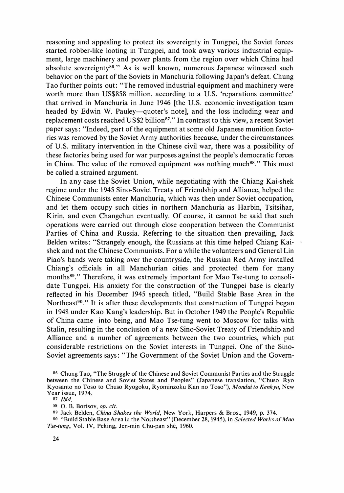reasoning and appealing to protect its sovereignty in Tungpei, the Soviet forces started robber-like looting in Tungpei, and took away various industrial equipment, large machinery and power plants from the region over which China had absolute sovereignty<sup>86</sup>." As is well known, numerous Japanese witnessed such behavior on the part of the Soviets in Manchuria following Japan's defeat. Chung Tao further points out: "The removed industrial equipment and machinery were worth more than US\$858 million, according to a U.S. 'reparations committee' that arrived in Manchuria in June 1946 [the U.S. economic investigation team headed by Edwin W. Pauley—quoter's note], and the loss including wear and replacement costs reached US\$2 billion<sup>87</sup>." In contrast to this view, a recent Soviet paper says : "Indeed, part of the equipment at some old Japanese munition factories was removed by the Soviet Army authorities because, under the circumstances of U.S. military intervention in the Chinese civil war, there was a possibility of these factories being used for war purposes against the people's democratic forces in China. The value of the removed equipment was nothing much<sup>88</sup>." This must be called a strained argument.

In any case the Soviet Union, while negotiating with the Chiang Kai-shek regime under the 1945 Sino・Soviet Treaty of Friendship and Alliance, helped the Chinese Communists enter Manchuria, which was then under Soviet occupation, and let them occupy such cities in northern Manchuria as Harbin, Tsitsihar, Kirin, and even Changchun eventually. Of course, it cannot be said that such operations were carried out through close cooperation between the Communist Parties of China and Russia. Referring to the situation then prevailing, Jack Belden writes: "Strangely enough, the Russians at this time helped Chiang Kaishek and not the Chinese Communists. For a while the volunteers and General Lin Piao's bands were taking over the countryside, the Russian Red Army installed Chiang's officials in all Manchurian cities and protected them for many months<sup>89</sup>." Therefore, it was extremely important for Mao Tse-tung to consolidate Tungpei. His anxiety for the construction of the Tungpei base is clearly reflected in his December 1945 speech titled, "Build Stable Base Area in the Northeast<sup>90</sup>." It is after these developments that construction of Tungpei began in 1948 under Kao Kang's leadership. But in October 1949 the People's Republic of China came into being, and Mao Tse-tung went to Moscow for talks with Stalin, resulting in the conclusion of a new Sino-Soviet Treaty of Friendship and Alliance and a number of agreements between the two countries, which put considerable restrictions on the Soviet interests in Tungpei. One of the Sino・ Soviet agreements says : "The Government of the Soviet Union and the Govern-

<sup>&</sup>lt;sup>86</sup> Chung Tao, "The Struggle of the Chinese and Soviet Communist Parties and the Struggle between the Chinese and Soviet States and Peoples" (Japanese translation, "Chuso Ryo Kyosanto no Toso to Chuso Ryogoku, Ryominzoku Kan no Toso"), Mondai to Kenkyu, New Year issue, 1974.

<sup>87</sup> Ibid.

ss O. B. Borisov, op. cit.

<sup>89</sup> Jack Belden, China Shakes the World, New York, Harpers & Bros., 1949, p. 374.

<sup>90 &</sup>quot;Build Stable Base Area in the Northeast" (December 28, 1945), in Selected Works of Mao Tse-tung, Vol. IV, Peking, Jen-min Chu-pan shê, 1960.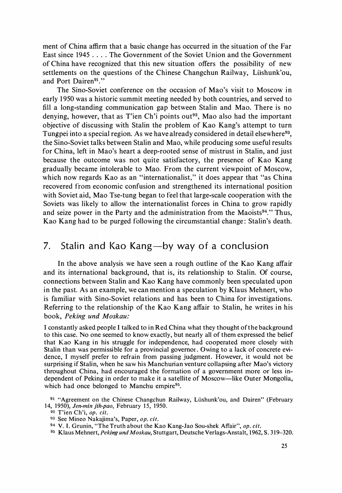ment of China affirm that a basic change has occurred in the situation of the Far East since 1945 . The Government of the Soviet Union and the Government of China have recognized that this new situation offers the possibility of new settlements on the questions of the Chinese Changchun Railway, Lüshunk'ou, and Port Dairen<sup>91</sup>."

The Sino・Soviet conference on the occasion of Mao's visit to Moscow in early 1 950 was a historic summit meeting needed by both countries, and served to fill a long-standing communication gap between Stalin and Mao. There is no denying, however, that as T'ien Ch'i points out<sup>92</sup>, Mao also had the important objective of discussing with Stalin the problem of Kao Kang's attempt to turn Tungpei into a special region. As we have already considered in detail elsewhere<sup>93</sup>, the Sino-Soviet talks between Stalin and Mao, while producing some useful results for China, left in Mao's heart a deep-rooted sense of mistrust in Stalin, and just because the outcome was not quite satisfactory, the presence of Kao Kang gradually became intolerable to Mao. From the current viewpoint of Moscow, which now regards Kao as an "internationalist," it does appear that "as China recovered from economic confusion and strengthened its international position with Soviet aid, Mao Tse-tung began to feel that large-scale cooperation with the Soviets was likely to allow the internationalist forces in China to grow rapidly and seize power in the Party and the administration from the Maoists $94$ ." Thus, Kao Kang had to be purged following the circumstantial change : Stalin's death.

## 7. Stalin and Kao Kang-by way of a conclusion

In the above analysis we have seen a rough outline of the Kao Kang affair and its international background, that is, its relationship to Stalin. Of course, connections between Stalin and Kao Kang have commonly been speculated upon in the past. As an example, we can mention a speculation by Klaus Mehnert, who is familiar with Sino-Soviet relations and has been to China for investigations. Referring to the relationship of the Kao Kang affair to Stalin, he writes in his book, Peking und Moskau:

I constantly asked people I talked to in Red China what they thought of the background to this case. No one seemed to know exactly, but nearly all of them expressed the belief that Kao Kang in his struggle for independence, had cooperated more closely with Stalin than was permissible for a provincial governor. Owing to a lack of concrete evidence, I myself prefer to refrain from passing judgment. However, it would not be surprising if Stalin, when he saw his Manchurian venture collapsing after Mao's victory throughout China, had encouraged the formation of a government more or less independent of Peking in order to make it a satellite of Moscow-like Outer Mongolia, which had once belonged to Manchu empire<sup>95</sup>.

95 Klaus Mehnert, Peking und Moskau, Stuttgart, Deutsche Verlags-Anstalt, 1962, S. 319-320.

<sup>91</sup> "Agreement on the Chinese Changchun Railway, Liishunk'ou, and Dairen" (February 14, 1950), Jen-min jih-pao, February 15, 1950.

<sup>92</sup> T'ien Ch'i, op. cit.

<sup>93</sup> See Mineo Nakajima's, Paper, op. cit.

<sup>94</sup> V. I. Grunin, "The Truth about the Kao Kang-Jao Sou-shek Affair", op. cit.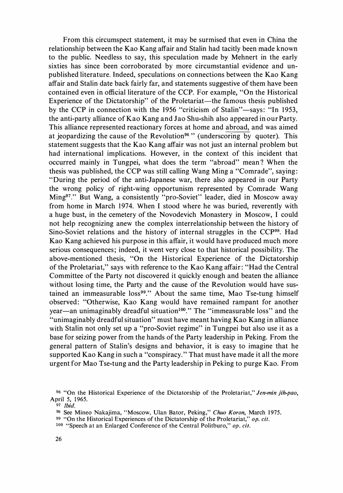From this circumspect statement, it may be surmised that even in China the relationship between the Kao Kang affair and Stalin had tacitly been made known to the public. Needless to say, this speculation made by Mehnert in the early sixties has since been corroborated by more circumstantial evidence and unpublished literature. Indeed, speculations on connections between the Kao Kang affair and Stalin date back fairly far, and statements suggestive of them have been contained even in official literature of the CCP. For example, "On the Historical Experience of the Dictatorship" of the Proletariat—the famous thesis published by the CCP in connection with the 1956 "criticism of Stalin"-says: "In 1953, the anti-party alliance of Kao Kang and Jao Shu-shih also appeared in our Party. This alliance represented reactionary forces at home and abroad, and was aimed at jeopardizing the cause of the Revolution<sup>96</sup> " (underscoring by quoter). This statement suggests that the Kao Kang affair was not just an internal problem but had international implications. However, in the context of this incident that occurred mainly in Tungpei, what does the term "abroad" mean ? When the thesis was published, the CCP was still calling Wang Ming a "Comrade", saying: "During the period of the anti-Japanese war, there also appeared in our Party the wrong policy of right-wing opportunism represented by Comrade Wang Ming97." But Wang, a consistently "pro-Soviet" leader, died in Moscow away from home in March 1974. When I stood where he was buried, reverently with a huge bust, in the cemetery of the Novodevich Monastery in Moscow, I could not help recognizing anew the complex interrelationship between the history of Sino-Soviet relations and the history of internal struggles in the CCP<sup>98</sup>. Had Kao Kang achieved his purpose in this affair, it would have produced much more serious consequences; indeed, it went very close to that historical possibility. The above-mentioned thesis, "On the Historical Experience of the Dictatorship of the Proletariat," says with reference to the Kao Kang affair : "Had the Central Committee of the Party not discovered it quickly enough and beaten the alliance without losing time, the Party and the cause of the Revolution would have sustained an immeasurable loss<sup>99</sup>." About the same time, Mao Tse-tung himself observed: "Otherwise, Kao Kang would have remained rampant for another year—an unimaginably dreadful situation<sup>100</sup>." The "immeasurable loss" and the "unimaginably dreadful situation" must have meant having Kao Kang in alliance with Stalin not only set up a "pro-Soviet regime" in Tungpei but also use it as a base for seizing power from the hands of the Party leadership in Peking. From the general pattern of Stalin's designs and behavior, it is easy to imagine that he supported Kao Kang in such a "conspiracy." That must have made it all the more urgent for Mao Tse-tung and the Party leadership in Peking to purge Kao. From

<sup>&</sup>lt;sup>96</sup> "On the Historical Experience of the Dictatorship of the Proletariat," Jen-min jih-pao, April 5, 1965.

<sup>97</sup> *Ibid.* 

<sup>98</sup> See Mineo Nakajima, "Moscow, Ulan Bator, Peking," Chuo Koron, March 1975.

<sup>99 &</sup>quot;On the Historical Experiences of the Dictatorship of the Proletariat," op. cit.

<sup>100 &</sup>quot;Speech at an Enlarged Conference of the Central Politburo," op. cit.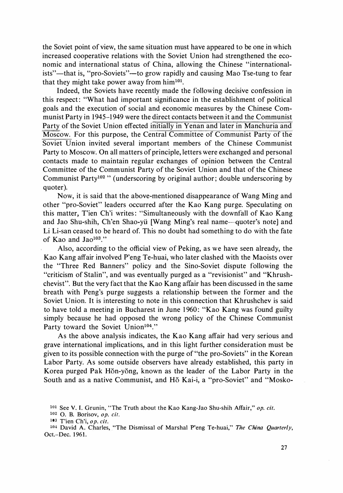the Soviet point of view, the same situation must have appeared to be one in which increased cooperative relations with the Soviet Union had strengthened the economic and international status of China, allowing the Chinese "internationalists"—that is, "pro-Soviets"—to grow rapidly and causing Mao Tse-tung to fear that they might take power away from him<sup>101</sup>.

Indeed, the Soviets have recently made the following decisive confession in this respect: "What had important significance in the establishment of political goals and the execution of social and economic measures by the Chinese Communist Party in 1945-1949 were the direct contacts between it and the Communist Party of the Soviet Union effected initially in Yenan and later in Manchuria and Moscow. For this purpose, the Central Committee of Communist Party of the Soviet Union invited several important members of the Chinese Communist Party to Moscow. On all matters of principle, letters were exchanged and personal contacts made to maintain regular exchanges of opinion between the Central Committee of the Communist Party of the Soviet Union and that of the Chinese Communist Party<sup>102</sup> " (underscoring by original author; double underscoring by quoter).

Now, it is said that the above-mentioned disappearance of Wang Ming and other "pro・Soviet" leaders occurred after the Kao Kang purge. Speculating on this matter, T'ien Ch'i writes: "Simultaneously with the downfall of Kao Kang and Jao Shu-shih, Ch'en Shao-yü [Wang Ming's real name—quoter's note] and Li Li-san ceased to be heard of. This no doubt had something to do with the fate of Kao and Jao<sup>103</sup>."

Also, according to the official view of Peking, as we have seen already, the Kao Kang affair involved P'eng Te-huai, who later clashed with the Maoists over the "Three Red Banners" policy and the Sino・Soviet dispute following the "criticism of Stalin", and was eventually purged as a "revisionist" and "Khrushchevist". But the very fact that the Kao Kang a町air has been discussed in the same breath with Peng's purge suggests a relationship between the former and the Soviet Union. It is interesting to note in this connection that Khrushchev is said to have told a meeting in Bucharest in June 1960: "Kao Kang was found guilty simply because he had opposed the wrong policy of the Chinese Communist Party toward the Soviet Union<sup>104</sup>."

As the above analysis indicates, the Kao Kang affair had very serious and grave international implications, and in this light further consideration must be given to its possible connection with the purge of "the pro-Soviets" in the Korean Labor Party. As some outside observers have already established, this party in Korea purged Pak Hŏn-yŏng, known as the leader of the Labor Party in the South and as a native Communist, and Ho Kai-i, a "pro-Soviet" and "Mosko-

<sup>&</sup>lt;sup>101</sup> See V. I. Grunin, "The Truth about the Kao Kang-Jao Shu-shih Affair," op. cit.

<sup>102</sup> O. B. Borisov, op. cit.

 $103$  T'ien Ch'i, op. cit.

<sup>104</sup> David A. Charles, "The Dismissal of Marshal P'eng Te-huai," The China Quarterly, Oct.-Dec. 1961.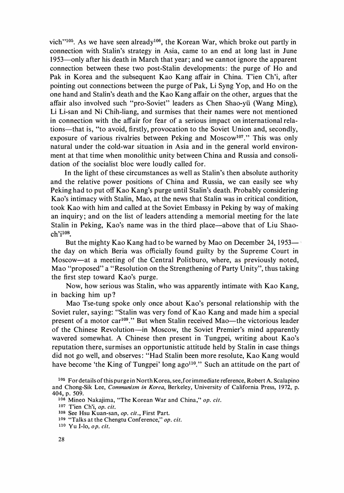vich"<sup>105</sup>. As we have seen already<sup>106</sup>, the Korean War, which broke out partly in connection with Stalin's strategy in Asia, came to an end at long last in June  $1953$ —only after his death in March that year: and we cannot ignore the apparent connection between these two post-Stalin developments : the purge of Ho and Pak in Korea and the subsequent Kao Kang affair in China. T'ien Ch'i, after pointing out connections between the purge of Pak, Li Syng Yop, and Ho on the one hand and Stalin's death and the Kao Kang affair on the other, argues that the affair also involved such "pro-Soviet" leaders as Chen Shao・yii (Wang Ming), Li Li-san and Ni Chih-liang, and surmises that their names were not mentioned in connection with the affair for fear of a serious impact on international relations-that is, "to avoid, firstly, provocation to the Soviet Union and, secondly, exposure of various rivalries between Peking and Moscow<sup>107</sup>." This was only natural under the cold-war situation in Asia and in the general world environment at that time when monolithic unity between China and Russia and consolidation of the socialist bloc were loudly called for.

In the light of these circumstances as well as Stalin's then absolute authority and the relative power positions of China and Russia, we can easily see why Peking had to put off Kao Kang's purge until Stalin's death. Probably considering Kao's intimacy with Stalin, Mao, at the news that Stalin was in critical condition, took Kao with him and called at the Soviet Embassy in Peking by way of making an inquiry ; and on the list of leaders attending a memorial meeting for the late Stalin in Peking, Kao's name was in the third place—above that of Liu Shao $ch$ 'i $^{108}$ 

But the mighty Kao Kang had to be warned by Mao on December 24, 1953the day on which Beria was officially found guilty by the Supreme Court in Moscow—at a meeting of the Central Politburo, where, as previously noted, Mao "proposed" a "Resolution on the Strengthening of Party Unity", thus taking the first step toward Kao's purge.

Now, how serious was Stalin, who was apparently intimate with Kao Kang, in backing him up ?

Mao Tse-tung spoke only once about Kao's personal relationship with the Soviet ruler, saying: "Stalin was very fond of Kao Kang and made him a special present of a motor car<sup>109</sup>." But when Stalin received Mao—the victorious leader of the Chinese Revolution-in Moscow, the Soviet Premier's mind apparently wavered somewhat. A Chinese then present in Tungpei, writing about Kao's reputation there, surmises an opportunistic attitude held by Stalin in case things did not go well, and observes: "Had Stalin been more resolute, Kao Kang would have become 'the King of Tungpei' long  $ago^{110}$ ." Such an attitude on the part of

106 Mineo Nakajima, "The Korean War and China," op. cit.

107 T'ien Ch'i, op. cit.

108 See Hsu Kuan-san, op. cit., First Part.

110 Yu I-lo, op. cit.

<sup>105</sup> For details of this purge in North Korea, see, for immediate reference, Robert A. Scalapino and Chong-Sik Lee, Communism in Korea, Berkeley, University of California Press, 1972, p. 404, p. 509.

<sup>109</sup> "Talks at the Chengtu Conference," op. cit.